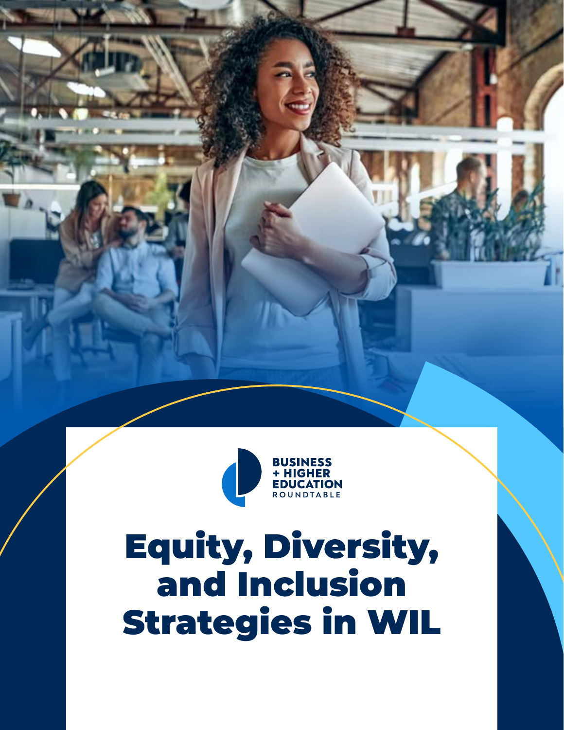

# Equity, Diversity, and Inclusion Strategies in WIL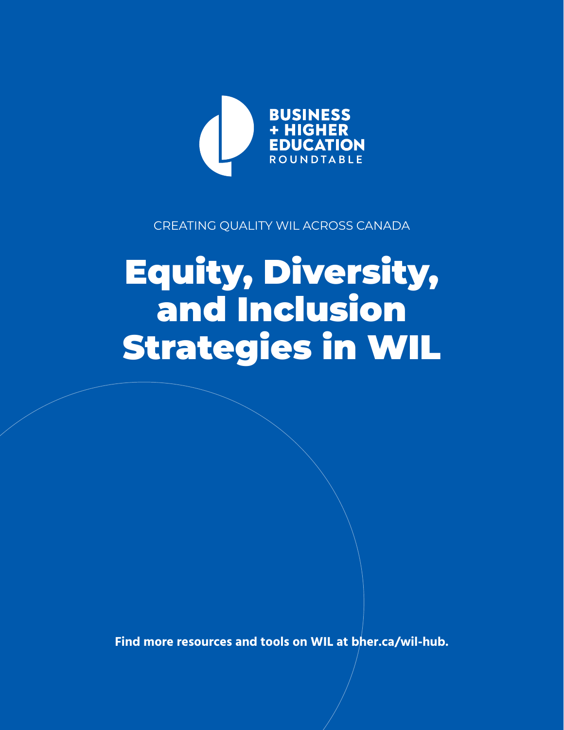

### CREATING QUALITY WIL ACROSS CANADA

# Equity, Diversity, and Inclusion Strategies in WIL

**Find more resources and tools on WIL at [bher.ca/wil-hub.](http://bher.ca/wil-hub)**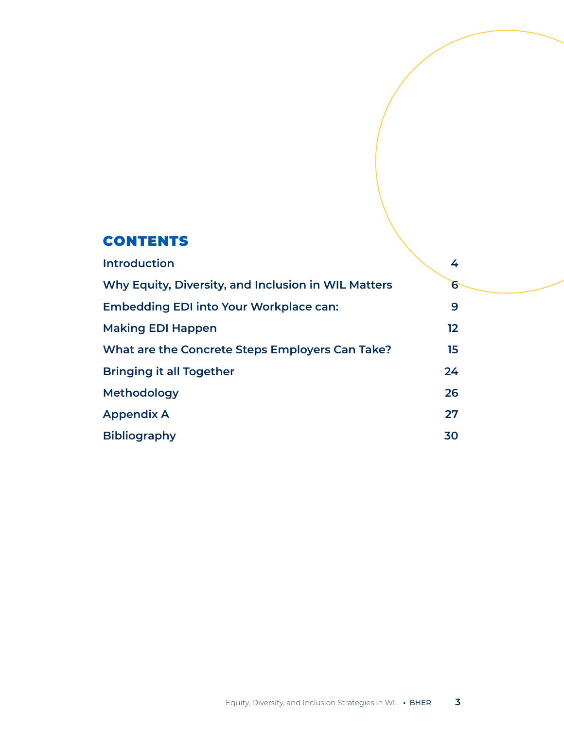## **CONTENTS**

| <b>Introduction</b>                                 | 4               |
|-----------------------------------------------------|-----------------|
| Why Equity, Diversity, and Inclusion in WIL Matters | $6\overline{}$  |
| <b>Embedding EDI into Your Workplace can:</b>       | 9               |
| <b>Making EDI Happen</b>                            | 12 <sup>°</sup> |
| What are the Concrete Steps Employers Can Take?     | 15 <sub>1</sub> |
| <b>Bringing it all Together</b>                     | 24              |
| <b>Methodology</b>                                  | 26              |
| <b>Appendix A</b>                                   | 27              |
| <b>Bibliography</b>                                 | 30              |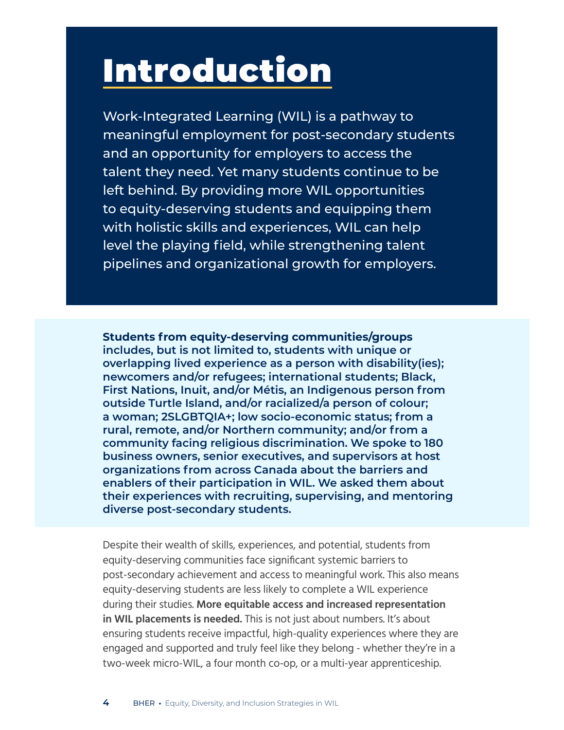# <span id="page-3-0"></span>Introduction

Work-Integrated Learning (WIL) is a pathway to meaningful employment for post-secondary students and an opportunity for employers to access the talent they need. Yet many students continue to be left behind. By providing more WIL opportunities to equity-deserving students and equipping them with holistic skills and experiences, WIL can help level the playing field, while strengthening talent pipelines and organizational growth for employers.

**Students from equity-deserving communities/groups includes, but is not limited to, students with unique or overlapping lived experience as a person with disability(ies); newcomers and/or refugees; international students; Black, First Nations, Inuit, and/or Métis, an Indigenous person from outside Turtle Island, and/or racialized/a person of colour; a woman; 2SLGBTQIA+; low socio-economic status; from a rural, remote, and/or Northern community; and/or from a community facing religious discrimination. We spoke to 180 business owners, senior executives, and supervisors at host organizations from across Canada about the barriers and enablers of their participation in WIL. We asked them about their experiences with recruiting, supervising, and mentoring diverse post-secondary students.**

Despite their wealth of skills, experiences, and potential, students from equity-deserving communities face significant systemic barriers to post-secondary achievement and access to meaningful work. This also means equity-deserving students are less likely to complete a WIL experience during their studies. **More equitable access and increased representation in WIL placements is needed.** This is not just about numbers. It's about ensuring students receive impactful, high-quality experiences where they are engaged and supported and truly feel like they belong - whether they're in a two-week micro-WIL, a four month co-op, or a multi-year apprenticeship.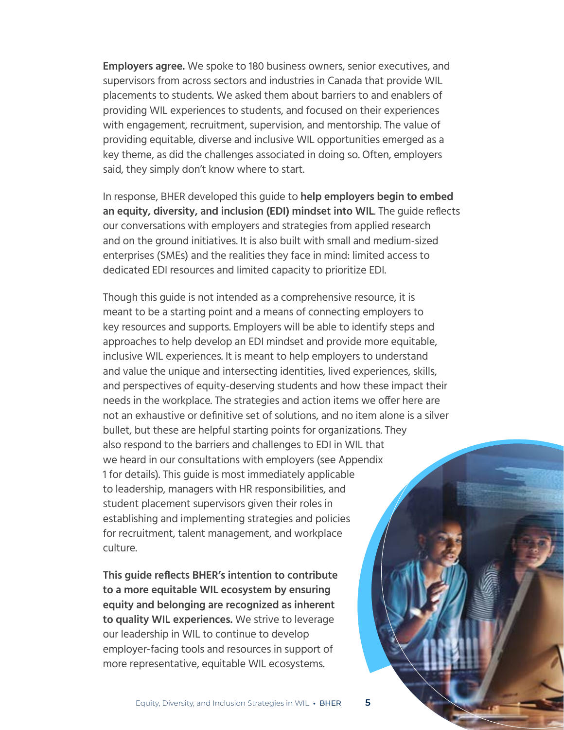**Employers agree.** We spoke to 180 business owners, senior executives, and supervisors from across sectors and industries in Canada that provide WIL placements to students. We asked them about barriers to and enablers of providing WIL experiences to students, and focused on their experiences with engagement, recruitment, supervision, and mentorship. The value of providing equitable, diverse and inclusive WIL opportunities emerged as a key theme, as did the challenges associated in doing so. Often, employers said, they simply don't know where to start.

In response, BHER developed this guide to **help employers begin to embed an equity, diversity, and inclusion (EDI) mindset into WIL**. The guide reflects our conversations with employers and strategies from applied research and on the ground initiatives. It is also built with small and medium-sized enterprises (SMEs) and the realities they face in mind: limited access to dedicated EDI resources and limited capacity to prioritize EDI.

Though this guide is not intended as a comprehensive resource, it is meant to be a starting point and a means of connecting employers to key resources and supports. Employers will be able to identify steps and approaches to help develop an EDI mindset and provide more equitable, inclusive WIL experiences. It is meant to help employers to understand and value the unique and intersecting identities, lived experiences, skills, and perspectives of equity-deserving students and how these impact their needs in the workplace. The strategies and action items we offer here are not an exhaustive or definitive set of solutions, and no item alone is a silver bullet, but these are helpful starting points for organizations. They also respond to the barriers and challenges to EDI in WIL that we heard in our consultations with employers (see Appendix 1 for details). This guide is most immediately applicable to leadership, managers with HR responsibilities, and student placement supervisors given their roles in establishing and implementing strategies and policies for recruitment, talent management, and workplace culture.

**This guide reflects BHER's intention to contribute to a more equitable WIL ecosystem by ensuring equity and belonging are recognized as inherent to quality WIL experiences.** We strive to leverage our leadership in WIL to continue to develop employer-facing tools and resources in support of more representative, equitable WIL ecosystems.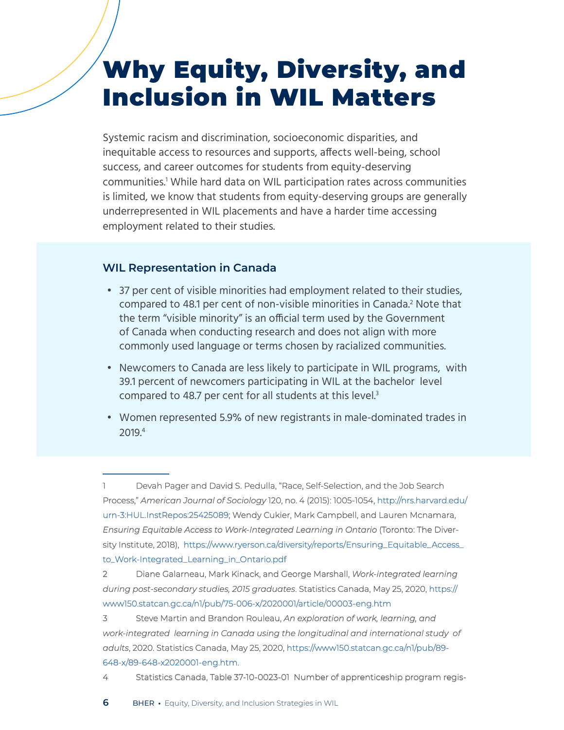## <span id="page-5-0"></span>Why Equity, Diversity, and Inclusion in WIL Matters

Systemic racism and discrimination, socioeconomic disparities, and inequitable access to resources and supports, affects well-being, school success, and career outcomes for students from equity-deserving communities.1 While hard data on WIL participation rates across communities is limited, we know that students from equity-deserving groups are generally underrepresented in WIL placements and have a harder time accessing employment related to their studies.

#### **WIL Representation in Canada**

- 37 per cent of visible minorities had employment related to their studies, compared to 48.1 per cent of non-visible minorities in Canada.<sup>2</sup> Note that the term "visible minority" is an official term used by the Government of Canada when conducting research and does not align with more commonly used language or terms chosen by racialized communities.
- Newcomers to Canada are less likely to participate in WIL programs, with 39.1 percent of newcomers participating in WIL at the bachelor level compared to 48.7 per cent for all students at this level.<sup>3</sup>
- Women represented 5.9% of new registrants in male-dominated trades in 2019.4

4 Statistics Canada, Table 37-10-0023-01 Number of apprenticeship program regis-

<sup>1</sup> Devah Pager and David S. Pedulla, "Race, Self-Selection, and the Job Search Process," *American Journal of Sociology* 120, no. 4 (2015): 1005-1054, [http://nrs.harvard.edu/](http://nrs.harvard.edu/urn-3:HUL.InstRepos:25425089) [urn-3:HUL.InstRepos:25425089](http://nrs.harvard.edu/urn-3:HUL.InstRepos:25425089); Wendy Cukier, Mark Campbell, and Lauren Mcnamara, *Ensuring Equitable Access to Work-Integrated Learning in Ontario* (Toronto: The Diversity Institute, 2018), [https://www.ryerson.ca/diversity/reports/Ensuring\\_Equitable\\_Access\\_](https://www.ryerson.ca/diversity/reports/Ensuring_Equitable_Access_to_Work-Integrated_Learning_in_Ontario.pdf) [to\\_Work-Integrated\\_Learning\\_in\\_Ontario.pdf](https://www.ryerson.ca/diversity/reports/Ensuring_Equitable_Access_to_Work-Integrated_Learning_in_Ontario.pdf)

<sup>2</sup> Diane Galarneau, Mark Kinack, and George Marshall, *Work-integrated learning during post-secondary studies, 2015 graduates*. Statistics Canada, May 25, 2020, [https://](https://www150.statcan.gc.ca/n1/pub/75-006-x/2020001/article/00003-eng.htm) [www150.statcan.gc.ca/n1/pub/75-006-x/2020001/article/00003-eng.htm](https://www150.statcan.gc.ca/n1/pub/75-006-x/2020001/article/00003-eng.htm)

<sup>3</sup> Steve Martin and Brandon Rouleau, *An exploration of work, learning, and work-integrated learning in Canada using the longitudinal and international study of adults*, 2020. Statistics Canada, May 25, 2020, [https://www150.statcan.gc.ca/n1/pub/89-](https://www150.statcan.gc.ca/n1/pub/89-648-x/89-648-x2020001-eng.htm) [648-x/89-648-x2020001-eng.htm](https://www150.statcan.gc.ca/n1/pub/89-648-x/89-648-x2020001-eng.htm).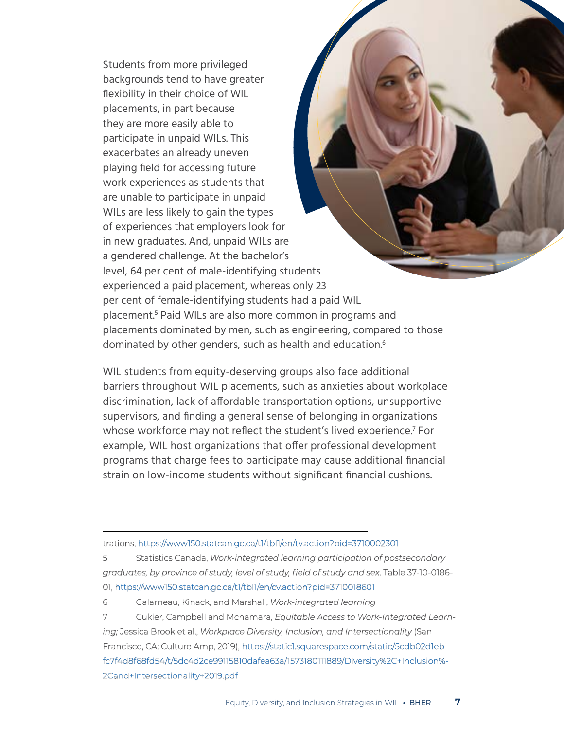Students from more privileged backgrounds tend to have greater flexibility in their choice of WIL placements, in part because they are more easily able to participate in unpaid WILs. This exacerbates an already uneven playing field for accessing future work experiences as students that are unable to participate in unpaid WILs are less likely to gain the types of experiences that employers look for in new graduates. And, unpaid WILs are a gendered challenge. At the bachelor's level, 64 per cent of male-identifying students experienced a paid placement, whereas only 23 per cent of female-identifying students had a paid WIL placement.5 Paid WILs are also more common in programs and placements dominated by men, such as engineering, compared to those dominated by other genders, such as health and education.<sup>6</sup>

WIL students from equity-deserving groups also face additional barriers throughout WIL placements, such as anxieties about workplace discrimination, lack of affordable transportation options, unsupportive supervisors, and finding a general sense of belonging in organizations whose workforce may not reflect the student's lived experience.<sup>7</sup> For example, WIL host organizations that offer professional development programs that charge fees to participate may cause additional financial strain on low-income students without significant financial cushions.

trations, <https://www150.statcan.gc.ca/t1/tbl1/en/tv.action?pid=3710002301>

5 Statistics Canada, *Work-integrated learning participation of postsecondary graduates, by province of study, level of study, field of study and sex*. Table 37-10-0186- 01, <https://www150.statcan.gc.ca/t1/tbl1/en/cv.action?pid=3710018601>

6 Galarneau, Kinack, and Marshall, *Work-integrated learning*

7 Cukier, Campbell and Mcnamara, *Equitable Access to Work-Integrated Learning;* Jessica Brook et al., *Workplace Diversity, Inclusion, and Intersectionality* (San Francisco, CA: Culture Amp, 2019), [https://static1.squarespace.com/static/5cdb02d1eb](https://static1.squarespace.com/static/5cdb02d1ebfc7f4d8f68fd54/t/5dc4d2ce99115810dafea63a/1573180111889/Diversity%2C+Inclusion%2Cand+Intersectionality+2019.pdf)[fc7f4d8f68fd54/t/5dc4d2ce99115810dafea63a/1573180111889/Diversity%2C+Inclusion%-](https://static1.squarespace.com/static/5cdb02d1ebfc7f4d8f68fd54/t/5dc4d2ce99115810dafea63a/1573180111889/Diversity%2C+Inclusion%2Cand+Intersectionality+2019.pdf) [2Cand+Intersectionality+2019.pdf](https://static1.squarespace.com/static/5cdb02d1ebfc7f4d8f68fd54/t/5dc4d2ce99115810dafea63a/1573180111889/Diversity%2C+Inclusion%2Cand+Intersectionality+2019.pdf)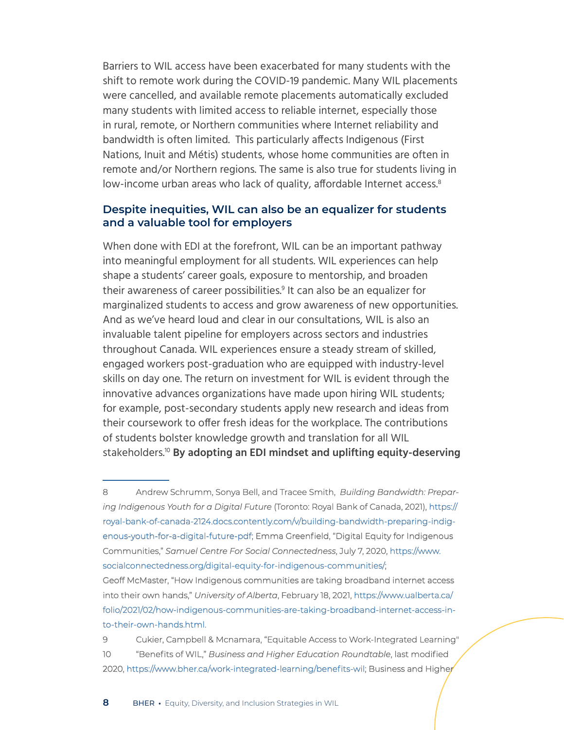Barriers to WIL access have been exacerbated for many students with the shift to remote work during the COVID-19 pandemic. Many WIL placements were cancelled, and available remote placements automatically excluded many students with limited access to reliable internet, especially those in rural, remote, or Northern communities where Internet reliability and bandwidth is often limited. This particularly affects Indigenous (First Nations, Inuit and Métis) students, whose home communities are often in remote and/or Northern regions. The same is also true for students living in low-income urban areas who lack of quality, affordable Internet access.<sup>8</sup>

#### **Despite inequities, WIL can also be an equalizer for students and a valuable tool for employers**

When done with EDI at the forefront, WIL can be an important pathway into meaningful employment for all students. WIL experiences can help shape a students' career goals, exposure to mentorship, and broaden their awareness of career possibilities.<sup>9</sup> It can also be an equalizer for marginalized students to access and grow awareness of new opportunities. And as we've heard loud and clear in our consultations, WIL is also an invaluable talent pipeline for employers across sectors and industries throughout Canada. WIL experiences ensure a steady stream of skilled, engaged workers post-graduation who are equipped with industry-level skills on day one. The return on investment for WIL is evident through the innovative advances organizations have made upon hiring WIL students; for example, post-secondary students apply new research and ideas from their coursework to offer fresh ideas for the workplace. The contributions of students bolster knowledge growth and translation for all WIL stakeholders.10 **By adopting an EDI mindset and uplifting equity-deserving** 

9 Cukier, Campbell & Mcnamara, "Equitable Access to Work-Integrated Learning" 10 "Benefits of WIL," *Business and Higher Education Roundtable*, last modified 2020, <https://www.bher.ca/work-integrated-learning/benefits-wil>; Business and Higher

<sup>8</sup> Andrew Schrumm, Sonya Bell, and Tracee Smith, *Building Bandwidth: Preparing Indigenous Youth for a Digital Future* (Toronto: Royal Bank of Canada, 2021), [https://](https://royal-bank-of-canada-2124.docs.contently.com/v/building-bandwidth-preparing-indigenous-youth-for-a-digital-future-pdf) [royal-bank-of-canada-2124.docs.contently.com/v/building-bandwidth-preparing-indig](https://royal-bank-of-canada-2124.docs.contently.com/v/building-bandwidth-preparing-indigenous-youth-for-a-digital-future-pdf)[enous-youth-for-a-digital-future-pdf](https://royal-bank-of-canada-2124.docs.contently.com/v/building-bandwidth-preparing-indigenous-youth-for-a-digital-future-pdf); Emma Greenfield, "Digital Equity for Indigenous Communities," *Samuel Centre For Social Connectedness*, July 7, 2020[, https://www.]( https://www.socialconnectedness.org/digital-equity-for-indigenous-communities/) [socialconnectedness.org/digital-equity-for-indigenous-communities/;]( https://www.socialconnectedness.org/digital-equity-for-indigenous-communities/) Geoff McMaster, "How Indigenous communities are taking broadband internet access into their own hands," *University of Alberta*, February 18, 2021, [https://www.ualberta.ca/](https://www.ualberta.ca/folio/2021/02/how-indigenous-communities-are-taking-broadband-internet-access-into-their-own-hands.html) [folio/2021/02/how-indigenous-communities-are-taking-broadband-internet-access-in](https://www.ualberta.ca/folio/2021/02/how-indigenous-communities-are-taking-broadband-internet-access-into-their-own-hands.html)[to-their-own-hands.html](https://www.ualberta.ca/folio/2021/02/how-indigenous-communities-are-taking-broadband-internet-access-into-their-own-hands.html).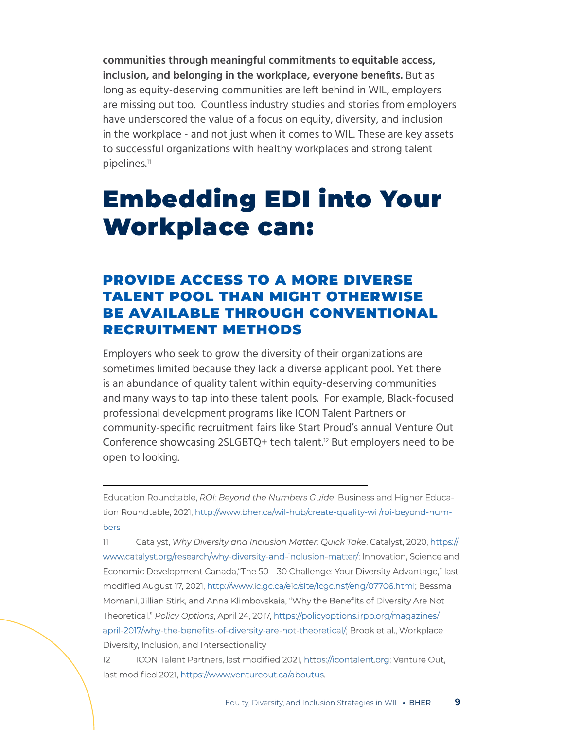**communities through meaningful commitments to equitable access, inclusion, and belonging in the workplace, everyone benefits.** But as long as equity-deserving communities are left behind in WIL, employers are missing out too. Countless industry studies and stories from employers have underscored the value of a focus on equity, diversity, and inclusion in the workplace - and not just when it comes to WIL. These are key assets to successful organizations with healthy workplaces and strong talent pipelines.11

## <span id="page-8-0"></span>Embedding EDI into Your Workplace can:

### PROVIDE ACCESS TO A MORE DIVERSE TALENT POOL THAN MIGHT OTHERWISE BE AVAILABLE THROUGH CONVENTIONAL RECRUITMENT METHODS

Employers who seek to grow the diversity of their organizations are sometimes limited because they lack a diverse applicant pool. Yet there is an abundance of quality talent within equity-deserving communities and many ways to tap into these talent pools. For example, Black-focused professional development programs like ICON Talent Partners or community-specific recruitment fairs like Start Proud's annual Venture Out Conference showcasing 2SLGBTQ+ tech talent.<sup>12</sup> But employers need to be open to looking.

Education Roundtable, *ROI: Beyond the Numbers Guide*. Business and Higher Education Roundtable, 2021, [http://www.bher.ca/wil-hub/create-quality-wil/roi-beyond-num](http://www.bher.ca/wil-hub/create-quality-wil/roi-beyond-numbers)[bers](http://www.bher.ca/wil-hub/create-quality-wil/roi-beyond-numbers)

11 Catalyst, *Why Diversity and Inclusion Matter: Quick Take*. Catalyst, 2020, [https://](https://www.catalyst.org/research/why-diversity-and-inclusion-matter/) [www.catalyst.org/research/why-diversity-and-inclusion-matter/](https://www.catalyst.org/research/why-diversity-and-inclusion-matter/); Innovation, Science and Economic Development Canada,"The 50 – 30 Challenge: Your Diversity Advantage," last modified August 17, 2021, [http://www.ic.gc.ca/eic/site/icgc.nsf/eng/07706.html;](http://www.ic.gc.ca/eic/site/icgc.nsf/eng/07706.html) Bessma Momani, Jillian Stirk, and Anna Klimbovskaia, "Why the Benefits of Diversity Are Not Theoretical," *Policy Options*, April 24, 2017, [https://policyoptions.irpp.org/magazines/](https://policyoptions.irpp.org/magazines/april-2017/why-the-benefits-of-diversity-are-not-theoretical/) [april-2017/why-the-benefits-of-diversity-are-not-theoretical/](https://policyoptions.irpp.org/magazines/april-2017/why-the-benefits-of-diversity-are-not-theoretical/); Brook et al., Workplace Diversity, Inclusion, and Intersectionality

12 ICON Talent Partners, last modified 2021, [https://icontalent.org;](https://icontalent.org) Venture Out, last modified 2021, [https://www.ventureout.ca/aboutus.](https://www.ventureout.ca/aboutus)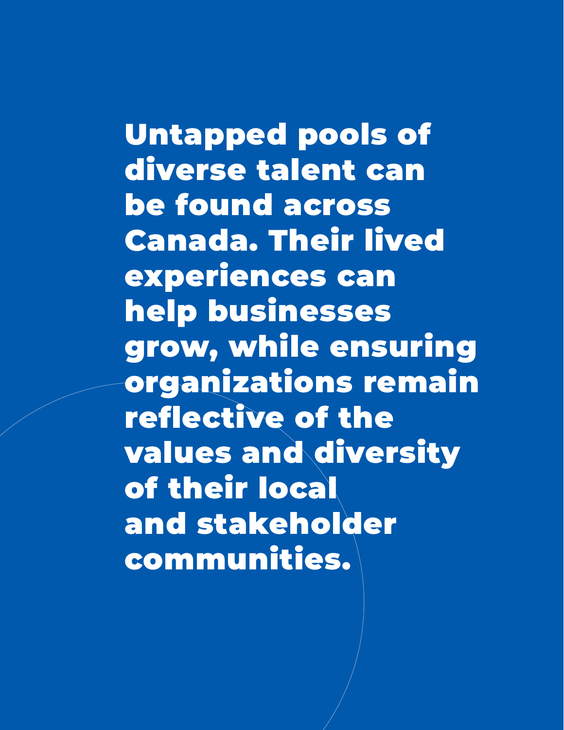Untapped pools of diverse talent can be found across Canada. Their lived experiences can help businesses grow, while ensuring organizations remain reflective of the values and diversity of their local and stakeholder communities.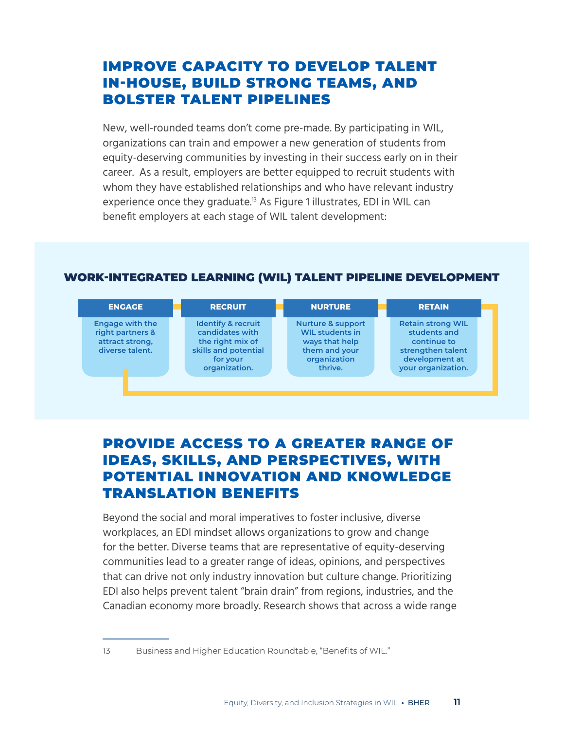## IMPROVE CAPACITY TO DEVELOP TALENT IN-HOUSE, BUILD STRONG TEAMS, AND BOLSTER TALENT PIPELINES

New, well-rounded teams don't come pre-made. By participating in WIL, organizations can train and empower a new generation of students from equity-deserving communities by investing in their success early on in their career. As a result, employers are better equipped to recruit students with whom they have established relationships and who have relevant industry experience once they graduate.<sup>13</sup> As Figure 1 illustrates, EDI in WIL can benefit employers at each stage of WIL talent development:

#### WORK-INTEGRATED LEARNING (WIL) TALENT PIPELINE DEVELOPMENT

| <b>ENGAGE</b>                                                                    | <b>RECRUIT</b>                                                                                                            | <b>NURTURE</b>                                                                                                       | <b>RETAIN</b>                                                                                                        |
|----------------------------------------------------------------------------------|---------------------------------------------------------------------------------------------------------------------------|----------------------------------------------------------------------------------------------------------------------|----------------------------------------------------------------------------------------------------------------------|
| <b>Engage with the</b><br>right partners &<br>attract strong,<br>diverse talent. | <b>Identify &amp; recruit</b><br>candidates with<br>the right mix of<br>skills and potential<br>for your<br>organization. | <b>Nurture &amp; support</b><br><b>WIL students in</b><br>ways that help<br>them and your<br>organization<br>thrive. | <b>Retain strong WIL</b><br>students and<br>continue to<br>strengthen talent<br>development at<br>your organization. |

## PROVIDE ACCESS TO A GREATER RANGE OF IDEAS, SKILLS, AND PERSPECTIVES, WITH POTENTIAL INNOVATION AND KNOWLEDGE TRANSLATION BENEFITS

Beyond the social and moral imperatives to foster inclusive, diverse workplaces, an EDI mindset allows organizations to grow and change for the better. Diverse teams that are representative of equity-deserving communities lead to a greater range of ideas, opinions, and perspectives that can drive not only industry innovation but culture change. Prioritizing EDI also helps prevent talent "brain drain" from regions, industries, and the Canadian economy more broadly. Research shows that across a wide range

- 
- 13 Business and Higher Education Roundtable, "Benefits of WIL."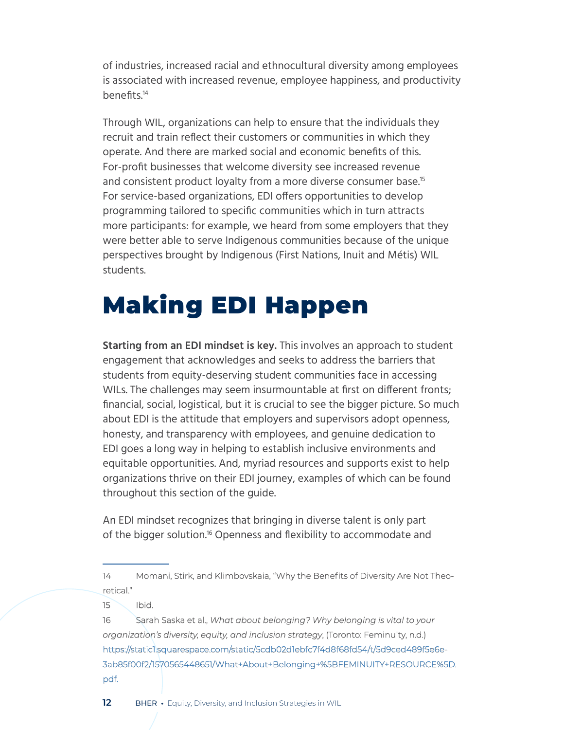of industries, increased racial and ethnocultural diversity among employees is associated with increased revenue, employee happiness, and productivity benefits.<sup>14</sup>

Through WIL, organizations can help to ensure that the individuals they recruit and train reflect their customers or communities in which they operate. And there are marked social and economic benefits of this. For-profit businesses that welcome diversity see increased revenue and consistent product loyalty from a more diverse consumer base.<sup>15</sup> For service-based organizations, EDI offers opportunities to develop programming tailored to specific communities which in turn attracts more participants: for example, we heard from some employers that they were better able to serve Indigenous communities because of the unique perspectives brought by Indigenous (First Nations, Inuit and Métis) WIL students.

# <span id="page-11-0"></span>Making EDI Happen

**Starting from an EDI mindset is key.** This involves an approach to student engagement that acknowledges and seeks to address the barriers that students from equity-deserving student communities face in accessing WILs. The challenges may seem insurmountable at first on different fronts; financial, social, logistical, but it is crucial to see the bigger picture. So much about EDI is the attitude that employers and supervisors adopt openness, honesty, and transparency with employees, and genuine dedication to EDI goes a long way in helping to establish inclusive environments and equitable opportunities. And, myriad resources and supports exist to help organizations thrive on their EDI journey, examples of which can be found throughout this section of the guide.

An EDI mindset recognizes that bringing in diverse talent is only part of the bigger solution.<sup>16</sup> Openness and flexibility to accommodate and

14 Momani, Stirk, and Klimbovskaia, "Why the Benefits of Diversity Are Not Theoretical."

 $15$  Ibid.

16 Sarah Saska et al., *What about belonging? Why belonging is vital to your organization's diversity, equity, and inclusion strategy*, (Toronto: Feminuity, n.d.) [https://static1.squarespace.com/static/5cdb02d1ebfc7f4d8f68fd54/t/5d9ced489f5e6e-](https://static1.squarespace.com/static/5cdb02d1ebfc7f4d8f68fd54/t/5d9ced489f5e6e3ab85f00f2/1570565448651/What+About+Belonging+%5BFEMINUITY+RESOURCE%5D.pdf)[3ab85f00f2/1570565448651/What+About+Belonging+%5BFEMINUITY+RESOURCE%5D.](https://static1.squarespace.com/static/5cdb02d1ebfc7f4d8f68fd54/t/5d9ced489f5e6e3ab85f00f2/1570565448651/What+About+Belonging+%5BFEMINUITY+RESOURCE%5D.pdf) [pdf.](https://static1.squarespace.com/static/5cdb02d1ebfc7f4d8f68fd54/t/5d9ced489f5e6e3ab85f00f2/1570565448651/What+About+Belonging+%5BFEMINUITY+RESOURCE%5D.pdf)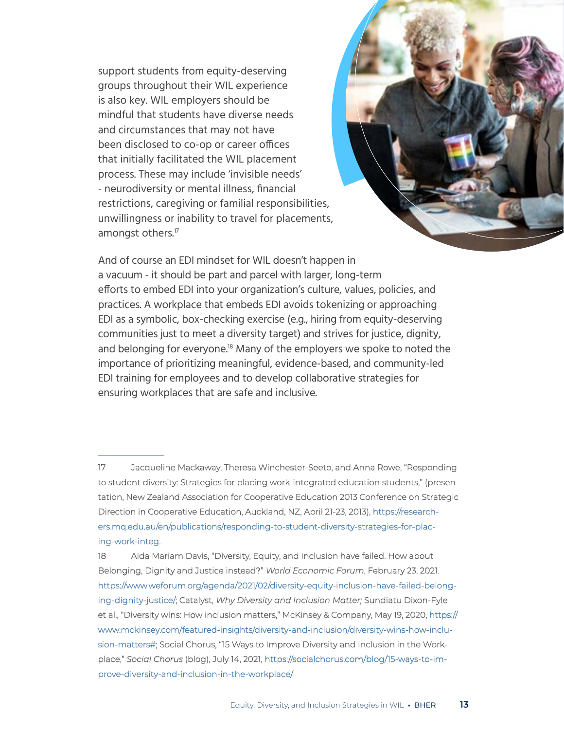support students from equity-deserving groups throughout their WIL experience is also key. WIL employers should be mindful that students have diverse needs and circumstances that may not have been disclosed to co-op or career offices that initially facilitated the WIL placement process. These may include 'invisible needs' - neurodiversity or mental illness, financial restrictions, caregiving or familial responsibilities, unwillingness or inability to travel for placements, amongst others.<sup>17</sup>



And of course an EDI mindset for WIL doesn't happen in a vacuum - it should be part and parcel with larger, long-term efforts to embed EDI into your organization's culture, values, policies, and practices. A workplace that embeds EDI avoids tokenizing or approaching EDI as a symbolic, box-checking exercise (e.g., hiring from equity-deserving communities just to meet a diversity target) and strives for justice, dignity, and belonging for everyone.18 Many of the employers we spoke to noted the importance of prioritizing meaningful, evidence-based, and community-led EDI training for employees and to develop collaborative strategies for ensuring workplaces that are safe and inclusive.

17 Jacqueline Mackaway, Theresa Winchester-Seeto, and Anna Rowe, "Responding to student diversity: Strategies for placing work-integrated education students," (presentation, New Zealand Association for Cooperative Education 2013 Conference on Strategic Direction in Cooperative Education, Auckland, NZ, April 21-23, 2013), [https://research](https://researchers.mq.edu.au/en/publications/responding-to-student-diversity-strategies-for-placing-work-integ)[ers.mq.edu.au/en/publications/responding-to-student-diversity-strategies-for-plac](https://researchers.mq.edu.au/en/publications/responding-to-student-diversity-strategies-for-placing-work-integ)[ing-work-integ.](https://researchers.mq.edu.au/en/publications/responding-to-student-diversity-strategies-for-placing-work-integ)

18 Aida Mariam Davis, "Diversity, Equity, and Inclusion have failed. How about Belonging, Dignity and Justice instead?" *World Economic Forum*, February 23, 2021. [https://www.weforum.org/agenda/2021/02/diversity-equity-inclusion-have-failed-belong](https://www.weforum.org/agenda/2021/02/diversity-equity-inclusion-have-failed-belonging-dignity-justice/)[ing-dignity-justice/;](https://www.weforum.org/agenda/2021/02/diversity-equity-inclusion-have-failed-belonging-dignity-justice/) Catalyst, *Why Diversity and Inclusion Matter;* Sundiatu Dixon-Fyle et al., "Diversity wins: How inclusion matters," McKinsey & Company, May 19, 2020, [https://](https://www.mckinsey.com/featured-insights/diversity-and-inclusion/diversity-wins-how-inclusion-matters#) [www.mckinsey.com/featured-insights/diversity-and-inclusion/diversity-wins-how-inclu](https://www.mckinsey.com/featured-insights/diversity-and-inclusion/diversity-wins-how-inclusion-matters#)[sion-matters#](https://www.mckinsey.com/featured-insights/diversity-and-inclusion/diversity-wins-how-inclusion-matters#); Social Chorus, "15 Ways to Improve Diversity and Inclusion in the Workplace," *Social Chorus* (blog), July 14, 2021[, https://socialchorus.com/blog/15-ways-to-im]( https://socialchorus.com/blog/15-ways-to-improve-diversity-and-inclusion-in-the-workplace/)[prove-diversity-and-inclusion-in-the-workplace/]( https://socialchorus.com/blog/15-ways-to-improve-diversity-and-inclusion-in-the-workplace/)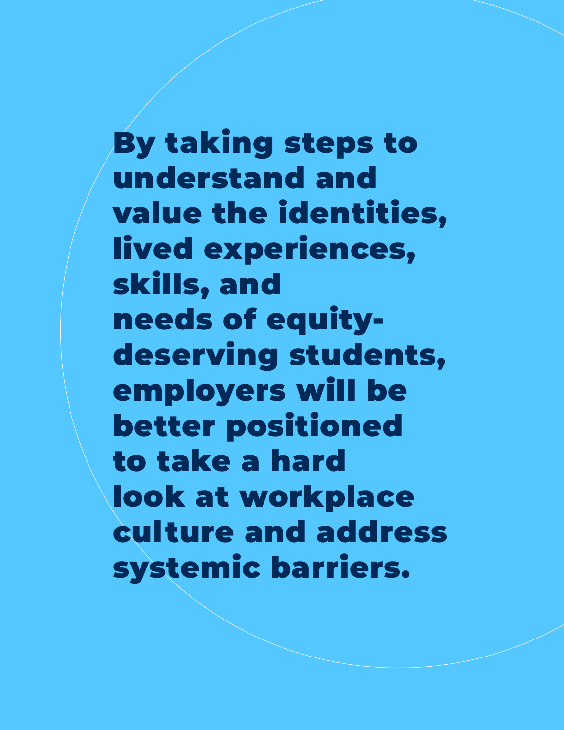By taking steps to understand and value the identities, lived experiences, skills, and needs of equitydeserving students, employers will be better positioned to take a hard look at workplace culture and address systemic barriers.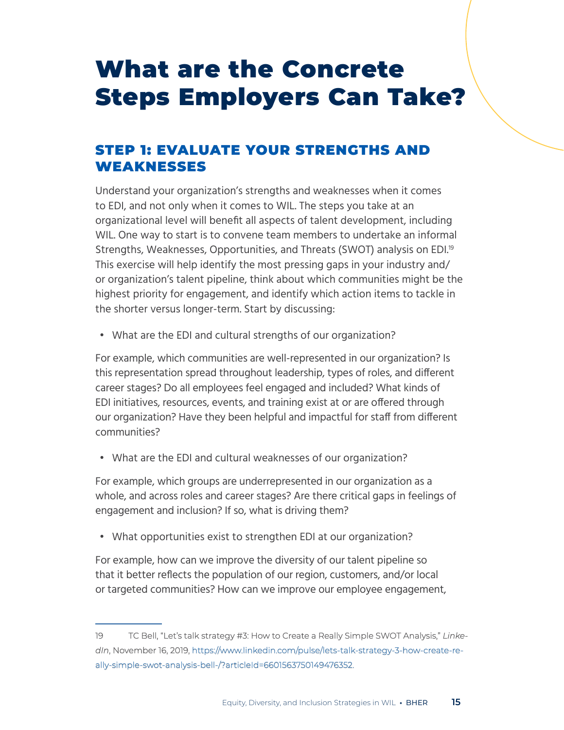## <span id="page-14-0"></span>What are the Concrete Steps Employers Can Take?

## STEP 1: EVALUATE YOUR STRENGTHS AND WEAKNESSES

Understand your organization's strengths and weaknesses when it comes to EDI, and not only when it comes to WIL. The steps you take at an organizational level will benefit all aspects of talent development, including WIL. One way to start is to convene team members to undertake an informal Strengths, Weaknesses, Opportunities, and Threats (SWOT) analysis on EDI.<sup>19</sup> This exercise will help identify the most pressing gaps in your industry and/ or organization's talent pipeline, think about which communities might be the highest priority for engagement, and identify which action items to tackle in the shorter versus longer-term. Start by discussing:

• What are the EDI and cultural strengths of our organization?

For example, which communities are well-represented in our organization? Is this representation spread throughout leadership, types of roles, and different career stages? Do all employees feel engaged and included? What kinds of EDI initiatives, resources, events, and training exist at or are offered through our organization? Have they been helpful and impactful for staff from different communities?

• What are the EDI and cultural weaknesses of our organization?

For example, which groups are underrepresented in our organization as a whole, and across roles and career stages? Are there critical gaps in feelings of engagement and inclusion? If so, what is driving them?

• What opportunities exist to strengthen EDI at our organization?

For example, how can we improve the diversity of our talent pipeline so that it better reflects the population of our region, customers, and/or local or targeted communities? How can we improve our employee engagement,

<sup>19</sup> TC Bell, "Let's talk strategy #3: How to Create a Really Simple SWOT Analysis," *LinkedIn*, November 16, 2019, [https://www.linkedin.com/pulse/lets-talk-strategy-3-how-create-re](https://www.linkedin.com/pulse/lets-talk-strategy-3-how-create-really-simple-swot-analysis-bell-/?articleId=6601563750149476352.)[ally-simple-swot-analysis-bell-/?articleId=6601563750149476352.](https://www.linkedin.com/pulse/lets-talk-strategy-3-how-create-really-simple-swot-analysis-bell-/?articleId=6601563750149476352.)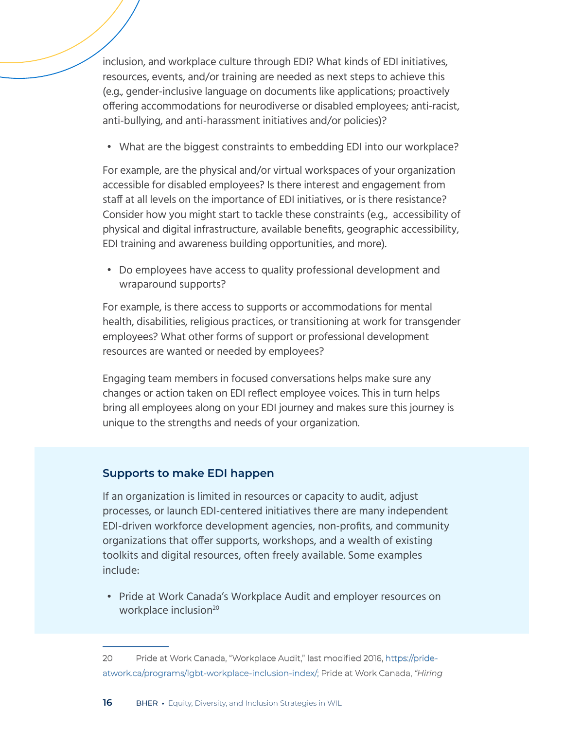inclusion, and workplace culture through EDI? What kinds of EDI initiatives, resources, events, and/or training are needed as next steps to achieve this (e.g., gender-inclusive language on documents like applications; proactively offering accommodations for neurodiverse or disabled employees; anti-racist, anti-bullying, and anti-harassment initiatives and/or policies)?

• What are the biggest constraints to embedding EDI into our workplace?

For example, are the physical and/or virtual workspaces of your organization accessible for disabled employees? Is there interest and engagement from staff at all levels on the importance of EDI initiatives, or is there resistance? Consider how you might start to tackle these constraints (e.g., accessibility of physical and digital infrastructure, available benefits, geographic accessibility, EDI training and awareness building opportunities, and more).

• Do employees have access to quality professional development and wraparound supports?

For example, is there access to supports or accommodations for mental health, disabilities, religious practices, or transitioning at work for transgender employees? What other forms of support or professional development resources are wanted or needed by employees?

Engaging team members in focused conversations helps make sure any changes or action taken on EDI reflect employee voices. This in turn helps bring all employees along on your EDI journey and makes sure this journey is unique to the strengths and needs of your organization.

#### **Supports to make EDI happen**

If an organization is limited in resources or capacity to audit, adjust processes, or launch EDI-centered initiatives there are many independent EDI-driven workforce development agencies, non-profits, and community organizations that offer supports, workshops, and a wealth of existing toolkits and digital resources, often freely available. Some examples include:

• Pride at Work Canada's Workplace Audit and employer resources on workplace inclusion<sup>20</sup>

<sup>20</sup> Pride at Work Canada, "Workplace Audit," last modified 2016, [https://pride](https://prideatwork.ca/programs/lgbt-workplace-inclusion-index/;)[atwork.ca/programs/lgbt-workplace-inclusion-index/;](https://prideatwork.ca/programs/lgbt-workplace-inclusion-index/;) Pride at Work Canada, *"Hiring*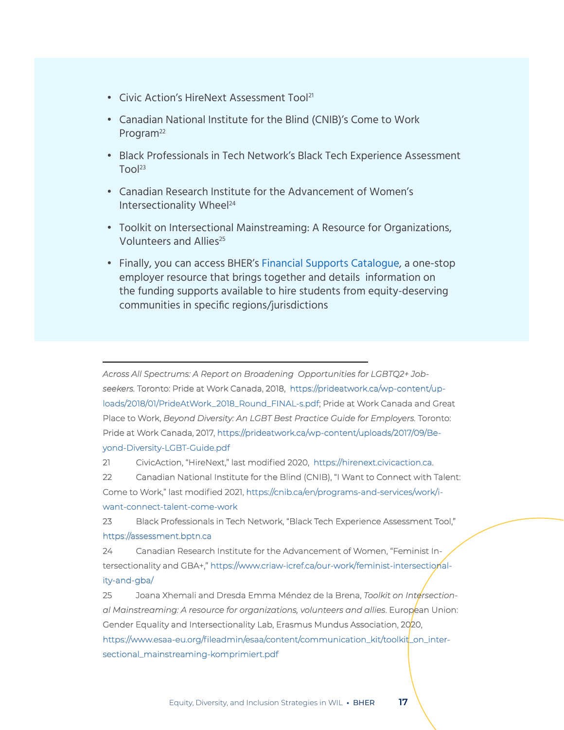- Civic Action's HireNext Assessment Tool<sup>21</sup>
- Canadian National Institute for the Blind (CNIB)'s Come to Work Program<sup>22</sup>
- Black Professionals in Tech Network's Black Tech Experience Assessment  $T$ ool<sup>23</sup>
- Canadian Research Institute for the Advancement of Women's Intersectionality Wheel<sup>24</sup>
- Toolkit on Intersectional Mainstreaming: A Resource for Organizations, Volunteers and Allies<sup>25</sup>
- Finally, you can access BHER's [Financial Supports Catalogue,](http://bher.ca/wil-hub/invest-wil/financial-supports-catalogue) a one-stop employer resource that brings together and details information on the funding supports available to hire students from equity-deserving communities in specific regions/jurisdictions

*Across All Spectrums: A Report on Broadening Opportunities for LGBTQ2+ Jobseekers.* Toronto: Pride at Work Canada, 2018, [https://prideatwork.ca/wp-content/up](https://prideatwork.ca/wp-content/uploads/2018/01/PrideAtWork_2018_Round_FINAL-s.pdf)[loads/2018/01/PrideAtWork\\_2018\\_Round\\_FINAL-s.pdf;](https://prideatwork.ca/wp-content/uploads/2018/01/PrideAtWork_2018_Round_FINAL-s.pdf) Pride at Work Canada and Great Place to Work, *Beyond Diversity: An LGBT Best Practice Guide for Employers.* Toronto: Pride at Work Canada, 2017, [https://prideatwork.ca/wp-content/uploads/2017/09/Be](https://prideatwork.ca/wp-content/uploads/2017/09/Beyond-Diversity-LGBT-Guide.pdf )[yond-Diversity-LGBT-Guide.pdf](https://prideatwork.ca/wp-content/uploads/2017/09/Beyond-Diversity-LGBT-Guide.pdf )

21 CivicAction, "HireNext," last modified 2020, <https://hirenext.civicaction.ca>.

22 Canadian National Institute for the Blind (CNIB), "I Want to Connect with Talent: Come to Work," last modified 2021, [https://cnib.ca/en/programs-and-services/work/i](https://cnib.ca/en/programs-and-services/work/i-want-connect-talent-come-work)[want-connect-talent-come-work](https://cnib.ca/en/programs-and-services/work/i-want-connect-talent-come-work)

23 Black Professionals in Tech Network, "Black Tech Experience Assessment Tool," <https://assessment.bptn.ca>

24 Canadian Research Institute for the Advancement of Women, "Feminist Intersectionality and GBA+," [https://www.criaw-icref.ca/our-work/feminist-intersectional](https://www.criaw-icref.ca/our-work/feminist-intersectionality-and-gba/)[ity-and-gba/](https://www.criaw-icref.ca/our-work/feminist-intersectionality-and-gba/)

25 Joana Xhemali and Dresda Emma Méndez de la Brena, *Toolkit on Intersectional Mainstreaming: A resource for organizations, volunteers and allies*. European Union: Gender Equality and Intersectionality Lab, Erasmus Mundus Association, 2020, [https://www.esaa-eu.org/fileadmin/esaa/content/communication\\_kit/toolkit\\_on\\_inter](https://www.esaa-eu.org/fileadmin/esaa/content/communication_kit/toolkit_on_intersectional_mainstreaming-komprimiert.pdf)[sectional\\_mainstreaming-komprimiert.pdf](https://www.esaa-eu.org/fileadmin/esaa/content/communication_kit/toolkit_on_intersectional_mainstreaming-komprimiert.pdf)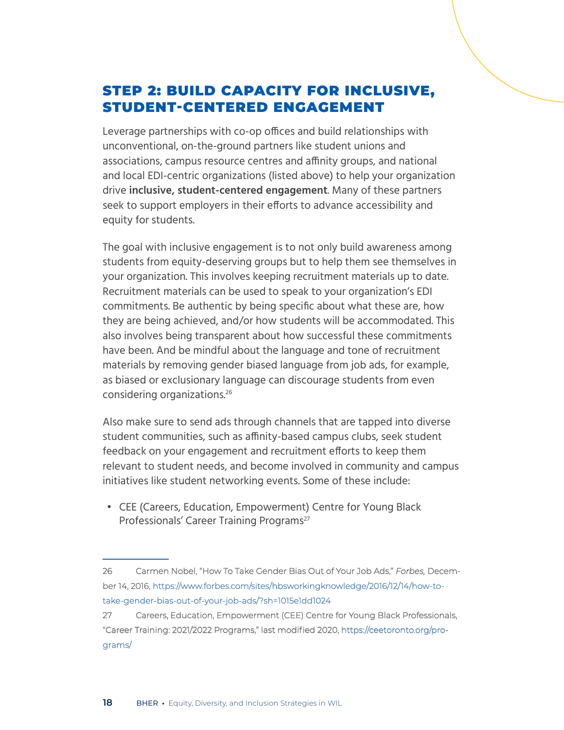## STEP 2: BUILD CAPACITY FOR INCLUSIVE, STUDENT-CENTERED ENGAGEMENT

Leverage partnerships with co-op offices and build relationships with unconventional, on-the-ground partners like student unions and associations, campus resource centres and affinity groups, and national and local EDI-centric organizations (listed above) to help your organization drive **inclusive, student-centered engagement**. Many of these partners seek to support employers in their efforts to advance accessibility and equity for students.

The goal with inclusive engagement is to not only build awareness among students from equity-deserving groups but to help them see themselves in your organization. This involves keeping recruitment materials up to date. Recruitment materials can be used to speak to your organization's EDI commitments. Be authentic by being specific about what these are, how they are being achieved, and/or how students will be accommodated. This also involves being transparent about how successful these commitments have been. And be mindful about the language and tone of recruitment materials by removing gender biased language from job ads, for example, as biased or exclusionary language can discourage students from even considering organizations.<sup>26</sup>

Also make sure to send ads through channels that are tapped into diverse student communities, such as affinity-based campus clubs, seek student feedback on your engagement and recruitment efforts to keep them relevant to student needs, and become involved in community and campus initiatives like student networking events. Some of these include:

• CEE (Careers, Education, Empowerment) Centre for Young Black Professionals' Career Training Programs<sup>27</sup>

<sup>26</sup> Carmen Nobel, "How To Take Gender Bias Out of Your Job Ads," *Forbes,* December 14, 2016, [https://www.forbes.com/sites/hbsworkingknowledge/2016/12/14/how-to](https://www.forbes.com/sites/hbsworkingknowledge/2016/12/14/how-to-take-gender-bias-out-of-your-job-ads/?sh=1015e1dd1024)[take-gender-bias-out-of-your-job-ads/?sh=1015e1dd1024](https://www.forbes.com/sites/hbsworkingknowledge/2016/12/14/how-to-take-gender-bias-out-of-your-job-ads/?sh=1015e1dd1024)

<sup>27</sup> Careers, Education, Empowerment (CEE) Centre for Young Black Professionals, "Career Training: 2021/2022 Programs," last modified 2020, [https://ceetoronto.org/pro](https://ceetoronto.org/programs/)[grams/](https://ceetoronto.org/programs/)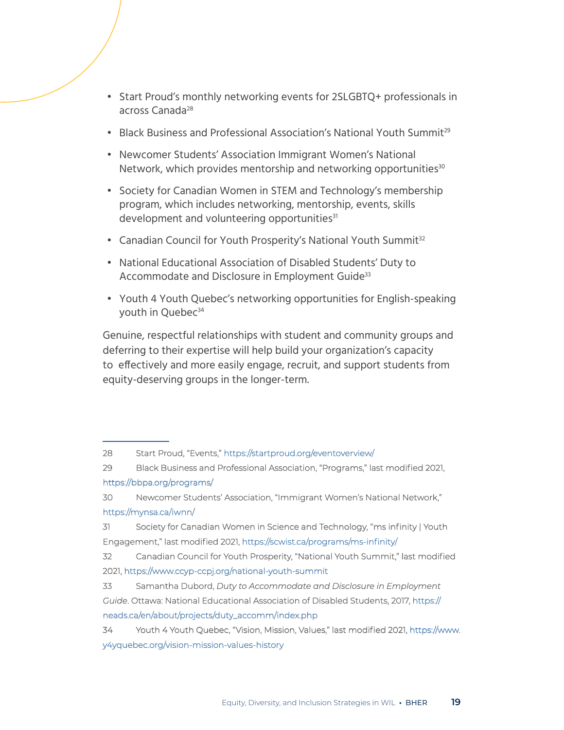- Start Proud's monthly networking events for 2SLGBTQ+ professionals in across Canada28
- Black Business and Professional Association's National Youth Summit<sup>29</sup>
- Newcomer Students' Association Immigrant Women's National Network, which provides mentorship and networking opportunities<sup>30</sup>
- Society for Canadian Women in STEM and Technology's membership program, which includes networking, mentorship, events, skills development and volunteering opportunities<sup>31</sup>
- Canadian Council for Youth Prosperity's National Youth Summit<sup>32</sup>
- National Educational Association of Disabled Students' Duty to Accommodate and Disclosure in Employment Guide<sup>33</sup>
- Youth 4 Youth Quebec's networking opportunities for English-speaking youth in Quebec<sup>34</sup>

Genuine, respectful relationships with student and community groups and deferring to their expertise will help build your organization's capacity to effectively and more easily engage, recruit, and support students from equity-deserving groups in the longer-term.

<sup>28</sup> Start Proud, "Events,"<https://startproud.org/eventoverview/>

<sup>29</sup> Black Business and Professional Association, "Programs," last modified 2021, <https://bbpa.org/programs/>

<sup>30</sup> Newcomer Students' Association, "Immigrant Women's National Network," <https://mynsa.ca/iwnn/>

<sup>31</sup> Society for Canadian Women in Science and Technology, "ms infinity | Youth Engagement," last modified 2021, <https://scwist.ca/programs/ms-infinity/>

<sup>32</sup> Canadian Council for Youth Prosperity, "National Youth Summit," last modified 2021, <https://www.ccyp-ccpj.org/national-youth-summit>

<sup>33</sup> Samantha Dubord, *Duty to Accommodate and Disclosure in Employment Guide*. Ottawa: National Educational Association of Disabled Students, 2017, [https://](https://neads.ca/en/about/projects/duty_accomm/index.php) [neads.ca/en/about/projects/duty\\_accomm/index.php](https://neads.ca/en/about/projects/duty_accomm/index.php)

<sup>34</sup> Youth 4 Youth Quebec, "Vision, Mission, Values," last modified 2021, [https://www.]( https://www.y4yquebec.org/vision-mission-values-history) [y4yquebec.org/vision-mission-values-history]( https://www.y4yquebec.org/vision-mission-values-history)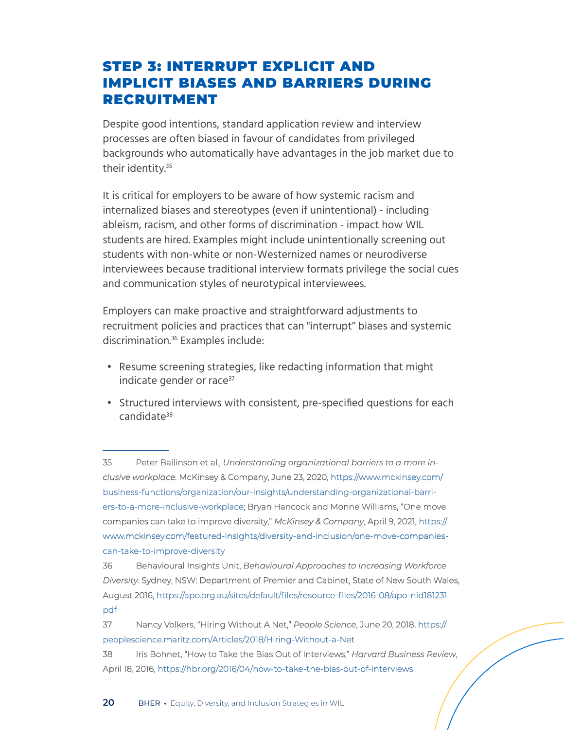### STEP 3: INTERRUPT EXPLICIT AND IMPLICIT BIASES AND BARRIERS DURING RECRUITMENT

Despite good intentions, standard application review and interview processes are often biased in favour of candidates from privileged backgrounds who automatically have advantages in the job market due to their identity.<sup>35</sup>

It is critical for employers to be aware of how systemic racism and internalized biases and stereotypes (even if unintentional) - including ableism, racism, and other forms of discrimination - impact how WIL students are hired. Examples might include unintentionally screening out students with non-white or non-Westernized names or neurodiverse interviewees because traditional interview formats privilege the social cues and communication styles of neurotypical interviewees.

Employers can make proactive and straightforward adjustments to recruitment policies and practices that can "interrupt" biases and systemic discrimination.36 Examples include:

- Resume screening strategies, like redacting information that might indicate gender or race<sup>37</sup>
- Structured interviews with consistent, pre-specified questions for each candidate38

35 Peter Bailinson et al., *Understanding organizational barriers to a more inclusive workplace.* McKinsey & Company, June 23, 2020, [https://www.mckinsey.com/]( https://www.mckinsey.com/business-functions/organization/our-insights/understanding-organizational-barriers-to-a-more-inclusive-workplace) [business-functions/organization/our-insights/understanding-organizational-barri]( https://www.mckinsey.com/business-functions/organization/our-insights/understanding-organizational-barriers-to-a-more-inclusive-workplace)[ers-to-a-more-inclusive-workplace;]( https://www.mckinsey.com/business-functions/organization/our-insights/understanding-organizational-barriers-to-a-more-inclusive-workplace) Bryan Hancock and Monne Williams, "One move companies can take to improve diversity," *McKinsey & Company*, April 9, 2021, [https://](https://www.mckinsey.com/featured-insights/diversity-and-inclusion/one-move-companies-can-take-to-improve-diversity ) [www.mckinsey.com/featured-insights/diversity-and-inclusion/one-move-companies](https://www.mckinsey.com/featured-insights/diversity-and-inclusion/one-move-companies-can-take-to-improve-diversity )[can-take-to-improve-diversity](https://www.mckinsey.com/featured-insights/diversity-and-inclusion/one-move-companies-can-take-to-improve-diversity ) 

36 Behavioural Insights Unit, *Behavioural Approaches to Increasing Workforce Diversity*. Sydney, NSW: Department of Premier and Cabinet, State of New South Wales, August 2016, [https://apo.org.au/sites/default/files/resource-files/2016-08/apo-nid181231.](https://apo.org.au/sites/default/files/resource-files/2016-08/apo-nid181231.pdf) [pdf](https://apo.org.au/sites/default/files/resource-files/2016-08/apo-nid181231.pdf)

- 37 Nancy Volkers, "Hiring Without A Net," *People Science*, June 20, 2018, [https://](https://peoplescience.maritz.com/Articles/2018/Hiring-Without-a-Net) [peoplescience.maritz.com/Articles/2018/Hiring-Without-a-Net](https://peoplescience.maritz.com/Articles/2018/Hiring-Without-a-Net)
- 38 Iris Bohnet, "How to Take the Bias Out of Interviews," *Harvard Business Review*, April 18, 2016,<https://hbr.org/2016/04/how-to-take-the-bias-out-of-interviews>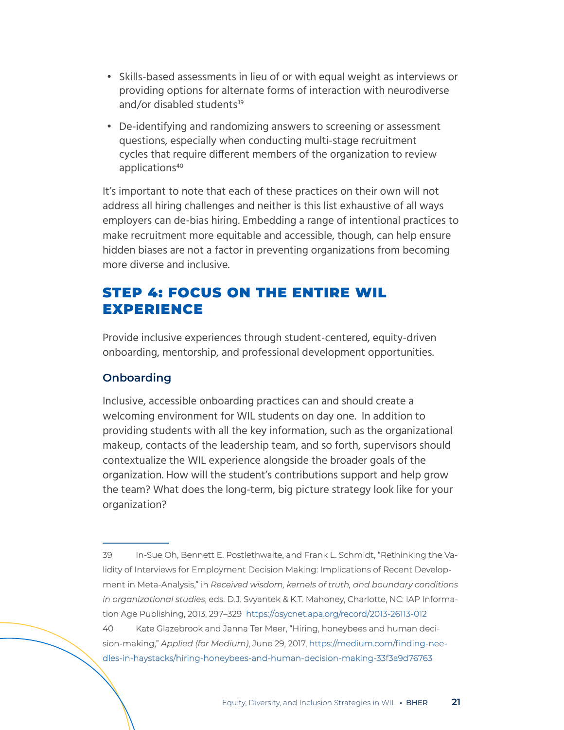- Skills-based assessments in lieu of or with equal weight as interviews or providing options for alternate forms of interaction with neurodiverse and/or disabled students<sup>39</sup>
- De-identifying and randomizing answers to screening or assessment questions, especially when conducting multi-stage recruitment cycles that require different members of the organization to review applications<sup>40</sup>

It's important to note that each of these practices on their own will not address all hiring challenges and neither is this list exhaustive of all ways employers can de-bias hiring. Embedding a range of intentional practices to make recruitment more equitable and accessible, though, can help ensure hidden biases are not a factor in preventing organizations from becoming more diverse and inclusive.

### STEP 4: FOCUS ON THE ENTIRE WIL EXPERIENCE

Provide inclusive experiences through student-centered, equity-driven onboarding, mentorship, and professional development opportunities.

#### **Onboarding**

Inclusive, accessible onboarding practices can and should create a welcoming environment for WIL students on day one. In addition to providing students with all the key information, such as the organizational makeup, contacts of the leadership team, and so forth, supervisors should contextualize the WIL experience alongside the broader goals of the organization. How will the student's contributions support and help grow the team? What does the long-term, big picture strategy look like for your organization?

39 In-Sue Oh, Bennett E. Postlethwaite, and Frank L. Schmidt, "Rethinking the Validity of Interviews for Employment Decision Making: Implications of Recent Development in Meta-Analysis," in *Received wisdom, kernels of truth, and boundary conditions in organizational studies*, eds. D.J. Svyantek & K.T. Mahoney, Charlotte, NC: IAP Information Age Publishing, 2013, 297–329 <https://psycnet.apa.org/record/2013-26113-012> 40 Kate Glazebrook and Janna Ter Meer, "Hiring, honeybees and human decision-making," *Applied (for Medium)*, June 29, 2017, [https://medium.com/finding-nee]( https://medium.com/finding-needles-in-haystacks/hiring-honeybees-and-human-decision-making-33f3a9d76763)[dles-in-haystacks/hiring-honeybees-and-human-decision-making-33f3a9d76763]( https://medium.com/finding-needles-in-haystacks/hiring-honeybees-and-human-decision-making-33f3a9d76763)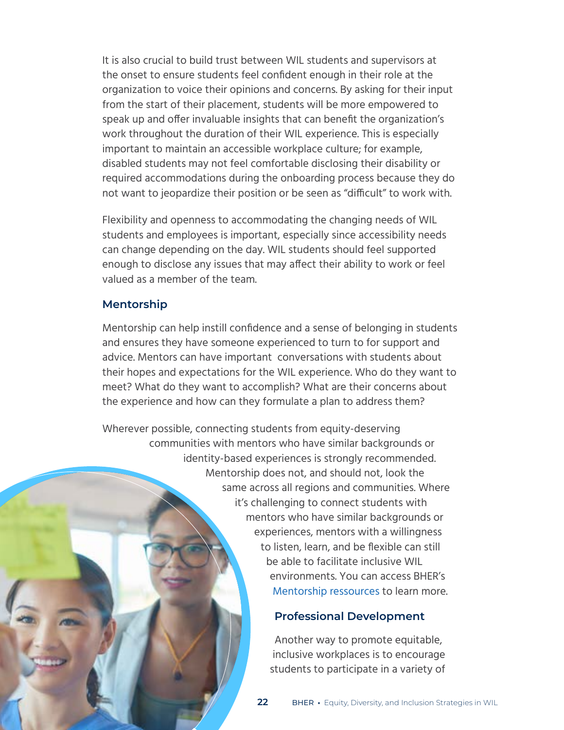It is also crucial to build trust between WIL students and supervisors at the onset to ensure students feel confident enough in their role at the organization to voice their opinions and concerns. By asking for their input from the start of their placement, students will be more empowered to speak up and offer invaluable insights that can benefit the organization's work throughout the duration of their WIL experience. This is especially important to maintain an accessible workplace culture; for example, disabled students may not feel comfortable disclosing their disability or required accommodations during the onboarding process because they do not want to jeopardize their position or be seen as "difficult" to work with.

Flexibility and openness to accommodating the changing needs of WIL students and employees is important, especially since accessibility needs can change depending on the day. WIL students should feel supported enough to disclose any issues that may affect their ability to work or feel valued as a member of the team.

#### **Mentorship**

Mentorship can help instill confidence and a sense of belonging in students and ensures they have someone experienced to turn to for support and advice. Mentors can have important conversations with students about their hopes and expectations for the WIL experience. Who do they want to meet? What do they want to accomplish? What are their concerns about the experience and how can they formulate a plan to address them?

Wherever possible, connecting students from equity-deserving communities with mentors who have similar backgrounds or identity-based experiences is strongly recommended. Mentorship does not, and should not, look the same across all regions and communities. Where it's challenging to connect students with mentors who have similar backgrounds or experiences, mentors with a willingness to listen, learn, and be flexible can still be able to facilitate inclusive WIL environments. You can access BHER's [Mentorship ressources](http://bher.ca/wil-hub/create-quality-wil/wil-mentorship-hub) to learn more.

#### **Professional Development**

Another way to promote equitable, inclusive workplaces is to encourage students to participate in a variety of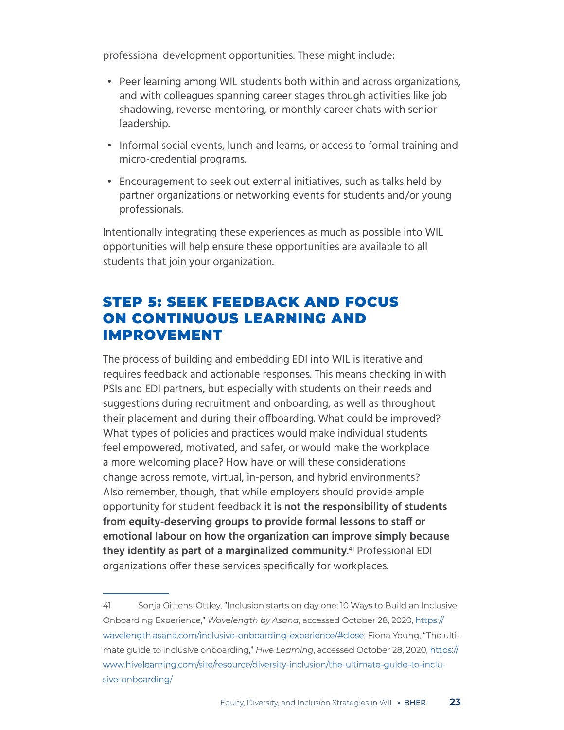professional development opportunities. These might include:

- Peer learning among WIL students both within and across organizations, and with colleagues spanning career stages through activities like job shadowing, reverse-mentoring, or monthly career chats with senior leadership.
- Informal social events, lunch and learns, or access to formal training and micro-credential programs.
- Encouragement to seek out external initiatives, such as talks held by partner organizations or networking events for students and/or young professionals.

Intentionally integrating these experiences as much as possible into WIL opportunities will help ensure these opportunities are available to all students that join your organization.

## STEP 5: SEEK FEEDBACK AND FOCUS ON CONTINUOUS LEARNING AND IMPROVEMENT

The process of building and embedding EDI into WIL is iterative and requires feedback and actionable responses. This means checking in with PSIs and EDI partners, but especially with students on their needs and suggestions during recruitment and onboarding, as well as throughout their placement and during their offboarding. What could be improved? What types of policies and practices would make individual students feel empowered, motivated, and safer, or would make the workplace a more welcoming place? How have or will these considerations change across remote, virtual, in-person, and hybrid environments? Also remember, though, that while employers should provide ample opportunity for student feedback **it is not the responsibility of students from equity-deserving groups to provide formal lessons to staff or emotional labour on how the organization can improve simply because they identify as part of a marginalized community**. 41 Professional EDI organizations offer these services specifically for workplaces.

<sup>41</sup> Sonja Gittens-Ottley, "Inclusion starts on day one: 10 Ways to Build an Inclusive Onboarding Experience," *Wavelength by Asana*, accessed October 28, 2020, [https://](https://wavelength.asana.com/inclusive-onboarding-experience/#close) [wavelength.asana.com/inclusive-onboarding-experience/#close](https://wavelength.asana.com/inclusive-onboarding-experience/#close); Fiona Young, "The ultimate guide to inclusive onboarding," *Hive Learning*, accessed October 28, 2020, [https://](https://www.hivelearning.com/site/resource/diversity-inclusion/the-ultimate-guide-to-inclusive-onboarding/) [www.hivelearning.com/site/resource/diversity-inclusion/the-ultimate-guide-to-inclu](https://www.hivelearning.com/site/resource/diversity-inclusion/the-ultimate-guide-to-inclusive-onboarding/)[sive-onboarding/](https://www.hivelearning.com/site/resource/diversity-inclusion/the-ultimate-guide-to-inclusive-onboarding/)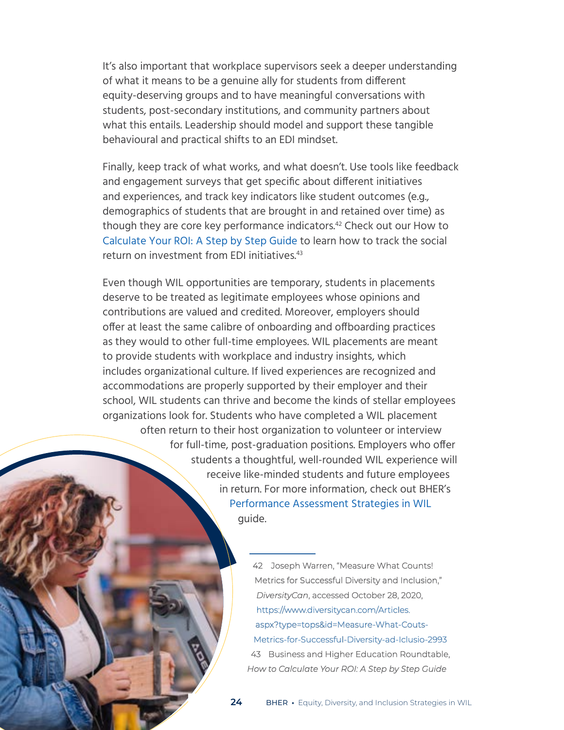It's also important that workplace supervisors seek a deeper understanding of what it means to be a genuine ally for students from different equity-deserving groups and to have meaningful conversations with students, post-secondary institutions, and community partners about what this entails. Leadership should model and support these tangible behavioural and practical shifts to an EDI mindset.

Finally, keep track of what works, and what doesn't. Use tools like feedback and engagement surveys that get specific about different initiatives and experiences, and track key indicators like student outcomes (e.g., demographics of students that are brought in and retained over time) as though they are core key performance indicators.42 Check out our How to [Calculate Your ROI: A Step by Step Guide](http://bher.ca/wil-hub/invest-wil/how-calculate-your-roi) to learn how to track the social return on investment from EDI initiatives.<sup>43</sup>

Even though WIL opportunities are temporary, students in placements deserve to be treated as legitimate employees whose opinions and contributions are valued and credited. Moreover, employers should offer at least the same calibre of onboarding and offboarding practices as they would to other full-time employees. WIL placements are meant to provide students with workplace and industry insights, which includes organizational culture. If lived experiences are recognized and accommodations are properly supported by their employer and their school, WIL students can thrive and become the kinds of stellar employees organizations look for. Students who have completed a WIL placement often return to their host organization to volunteer or interview for full-time, post-graduation positions. Employers who offer students a thoughtful, well-rounded WIL experience will receive like-minded students and future employees in return. For more information, check out BHER's [Performance Assessment Strategies in WIL](http://bher.ca/wil-hub/create-quality-wil/performance-assessment-strategies-wil) guide.

> 42 Joseph Warren, "Measure What Counts! Metrics for Successful Diversity and Inclusion," *DiversityCan*, accessed October 28, 2020, [https://www.diversitycan.com/Articles.](https://www.diversitycan.com/Articles.aspx?type=tops&id=Measure-What-Couts-Metrics-for-Successful-Diversity-ad-Iclusio-2993) [aspx?type=tops&id=Measure-What-Couts-](https://www.diversitycan.com/Articles.aspx?type=tops&id=Measure-What-Couts-Metrics-for-Successful-Diversity-ad-Iclusio-2993)[Metrics-for-Successful-Diversity-ad-Iclusio-2993](https://www.diversitycan.com/Articles.aspx?type=tops&id=Measure-What-Couts-Metrics-for-Successful-Diversity-ad-Iclusio-2993) 43 Business and Higher Education Roundtable, *How to Calculate Your ROI: A Step by Step Guide*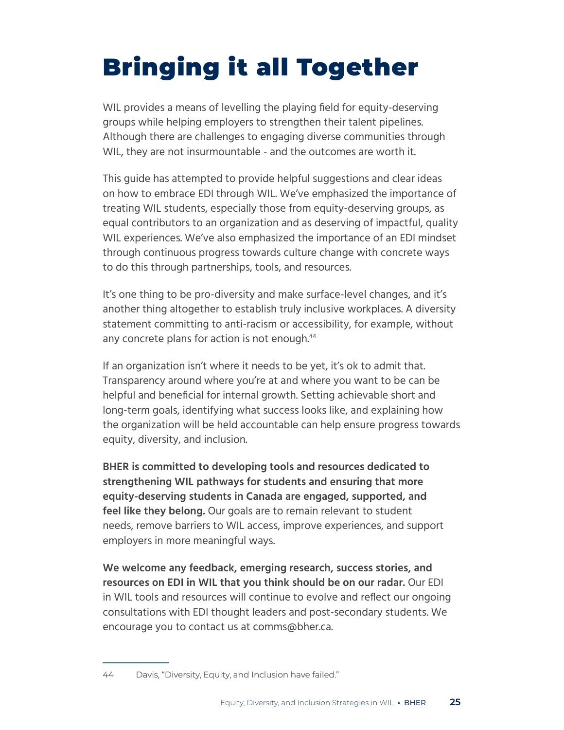# <span id="page-24-0"></span>Bringing it all Together

WIL provides a means of levelling the playing field for equity-deserving groups while helping employers to strengthen their talent pipelines. Although there are challenges to engaging diverse communities through WIL, they are not insurmountable - and the outcomes are worth it.

This guide has attempted to provide helpful suggestions and clear ideas on how to embrace EDI through WIL. We've emphasized the importance of treating WIL students, especially those from equity-deserving groups, as equal contributors to an organization and as deserving of impactful, quality WIL experiences. We've also emphasized the importance of an EDI mindset through continuous progress towards culture change with concrete ways to do this through partnerships, tools, and resources.

It's one thing to be pro-diversity and make surface-level changes, and it's another thing altogether to establish truly inclusive workplaces. A diversity statement committing to anti-racism or accessibility, for example, without any concrete plans for action is not enough.<sup>44</sup>

If an organization isn't where it needs to be yet, it's ok to admit that. Transparency around where you're at and where you want to be can be helpful and beneficial for internal growth. Setting achievable short and long-term goals, identifying what success looks like, and explaining how the organization will be held accountable can help ensure progress towards equity, diversity, and inclusion.

**BHER is committed to developing tools and resources dedicated to strengthening WIL pathways for students and ensuring that more equity-deserving students in Canada are engaged, supported, and feel like they belong.** Our goals are to remain relevant to student needs, remove barriers to WIL access, improve experiences, and support employers in more meaningful ways.

**We welcome any feedback, emerging research, success stories, and resources on EDI in WIL that you think should be on our radar.** Our EDI in WIL tools and resources will continue to evolve and reflect our ongoing consultations with EDI thought leaders and post-secondary students. We encourage you to contact us at comms@bher.ca.

<sup>44</sup> Davis, "Diversity, Equity, and Inclusion have failed."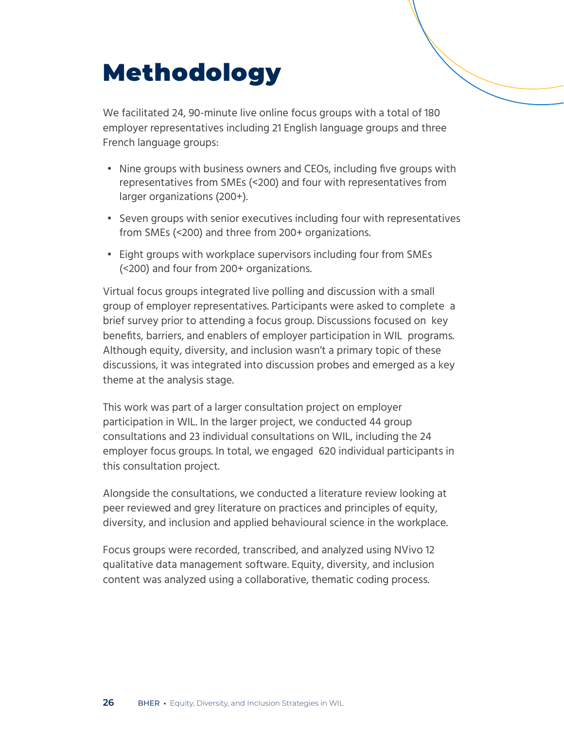# <span id="page-25-0"></span>Methodology

We facilitated 24, 90-minute live online focus groups with a total of 180 employer representatives including 21 English language groups and three French language groups:

- Nine groups with business owners and CEOs, including five groups with representatives from SMEs (<200) and four with representatives from larger organizations (200+).
- Seven groups with senior executives including four with representatives from SMEs (<200) and three from 200+ organizations.
- Eight groups with workplace supervisors including four from SMEs (<200) and four from 200+ organizations.

Virtual focus groups integrated live polling and discussion with a small group of employer representatives. Participants were asked to complete a brief survey prior to attending a focus group. Discussions focused on key benefits, barriers, and enablers of employer participation in WIL programs. Although equity, diversity, and inclusion wasn't a primary topic of these discussions, it was integrated into discussion probes and emerged as a key theme at the analysis stage.

This work was part of a larger consultation project on employer participation in WIL. In the larger project, we conducted 44 group consultations and 23 individual consultations on WIL, including the 24 employer focus groups. In total, we engaged 620 individual participants in this consultation project.

Alongside the consultations, we conducted a literature review looking at peer reviewed and grey literature on practices and principles of equity, diversity, and inclusion and applied behavioural science in the workplace.

Focus groups were recorded, transcribed, and analyzed using NVivo 12 qualitative data management software. Equity, diversity, and inclusion content was analyzed using a collaborative, thematic coding process.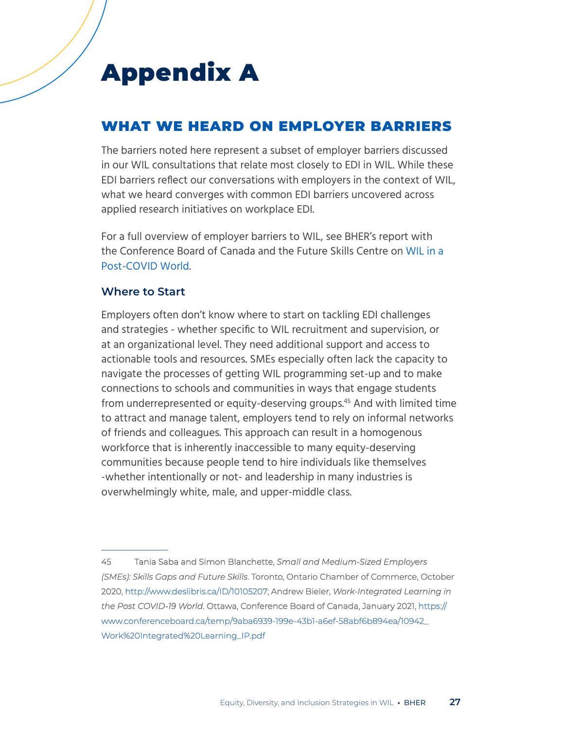## <span id="page-26-0"></span>Appendix A

## WHAT WE HEARD ON EMPLOYER BARRIERS

The barriers noted here represent a subset of employer barriers discussed in our WIL consultations that relate most closely to EDI in WIL. While these EDI barriers reflect our conversations with employers in the context of WIL, what we heard converges with common EDI barriers uncovered across applied research initiatives on workplace EDI.

For a full overview of employer barriers to WIL, see BHER's report with the Conference Board of Canada and the Future Skills Centre on [WIL in a](https://www.google.com/url?q=https://www.conferenceboard.ca/temp/d8d6b78a-87a9-47bc-8938-74eb207f3656/10942_Work%2520Integrated%2520Learning_IP.pdf&sa=D&source=editors&ust=1630335265939000&usg=AOvVaw1C42_6w135cY0HZD0P7m0C)  [Post-COVID World](https://www.google.com/url?q=https://www.conferenceboard.ca/temp/d8d6b78a-87a9-47bc-8938-74eb207f3656/10942_Work%2520Integrated%2520Learning_IP.pdf&sa=D&source=editors&ust=1630335265939000&usg=AOvVaw1C42_6w135cY0HZD0P7m0C).

#### **Where to Start**

Employers often don't know where to start on tackling EDI challenges and strategies - whether specific to WIL recruitment and supervision, or at an organizational level. They need additional support and access to actionable tools and resources. SMEs especially often lack the capacity to navigate the processes of getting WIL programming set-up and to make connections to schools and communities in ways that engage students from underrepresented or equity-deserving groups.<sup>45</sup> And with limited time to attract and manage talent, employers tend to rely on informal networks of friends and colleagues. This approach can result in a homogenous workforce that is inherently inaccessible to many equity-deserving communities because people tend to hire individuals like themselves -whether intentionally or not- and leadership in many industries is overwhelmingly white, male, and upper-middle class.

<sup>45</sup> Tania Saba and Simon Blanchette, *Small and Medium-Sized Employers (SMEs): Skills Gaps and Future Skills*. Toronto, Ontario Chamber of Commerce, October 2020, <http://www.deslibris.ca/ID/10105207>; Andrew Bieler, *Work-Integrated Learning in the Post COVID-19 World*. Ottawa, Conference Board of Canada, January 2021[, https://]( https://www.conferenceboard.ca/temp/9aba6939-199e-43b1-a6ef-58abf6b894ea/10942_Work%20Integrated%20Learning_IP.pdf ) [www.conferenceboard.ca/temp/9aba6939-199e-43b1-a6ef-58abf6b894ea/10942\\_]( https://www.conferenceboard.ca/temp/9aba6939-199e-43b1-a6ef-58abf6b894ea/10942_Work%20Integrated%20Learning_IP.pdf ) [Work%20Integrated%20Learning\\_IP.pdf]( https://www.conferenceboard.ca/temp/9aba6939-199e-43b1-a6ef-58abf6b894ea/10942_Work%20Integrated%20Learning_IP.pdf )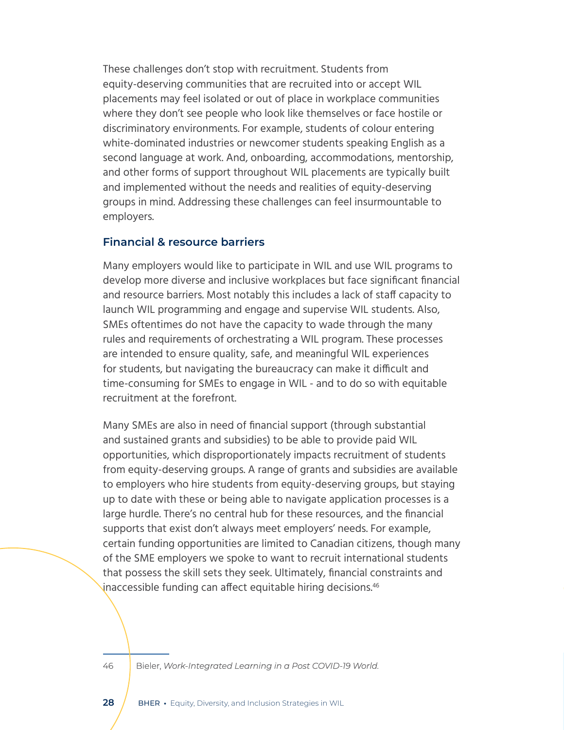These challenges don't stop with recruitment. Students from equity-deserving communities that are recruited into or accept WIL placements may feel isolated or out of place in workplace communities where they don't see people who look like themselves or face hostile or discriminatory environments. For example, students of colour entering white-dominated industries or newcomer students speaking English as a second language at work. And, onboarding, accommodations, mentorship, and other forms of support throughout WIL placements are typically built and implemented without the needs and realities of equity-deserving groups in mind. Addressing these challenges can feel insurmountable to employers.

#### **Financial & resource barriers**

Many employers would like to participate in WIL and use WIL programs to develop more diverse and inclusive workplaces but face significant financial and resource barriers. Most notably this includes a lack of staff capacity to launch WIL programming and engage and supervise WIL students. Also, SMEs oftentimes do not have the capacity to wade through the many rules and requirements of orchestrating a WIL program. These processes are intended to ensure quality, safe, and meaningful WIL experiences for students, but navigating the bureaucracy can make it difficult and time-consuming for SMEs to engage in WIL - and to do so with equitable recruitment at the forefront.

Many SMEs are also in need of financial support (through substantial and sustained grants and subsidies) to be able to provide paid WIL opportunities, which disproportionately impacts recruitment of students from equity-deserving groups. A range of grants and subsidies are available to employers who hire students from equity-deserving groups, but staying up to date with these or being able to navigate application processes is a large hurdle. There's no central hub for these resources, and the financial supports that exist don't always meet employers' needs. For example, certain funding opportunities are limited to Canadian citizens, though many of the SME employers we spoke to want to recruit international students that possess the skill sets they seek. Ultimately, financial constraints and inaccessible funding can affect equitable hiring decisions.<sup>46</sup>

46 Bieler, *Work-Integrated Learning in a Post COVID-19 World.*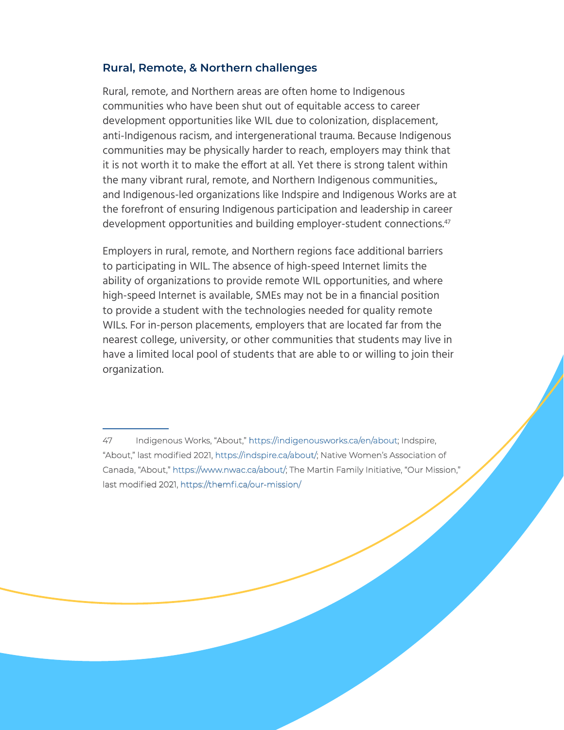#### **Rural, Remote, & Northern challenges**

Rural, remote, and Northern areas are often home to Indigenous communities who have been shut out of equitable access to career development opportunities like WIL due to colonization, displacement, anti-Indigenous racism, and intergenerational trauma. Because Indigenous communities may be physically harder to reach, employers may think that it is not worth it to make the effort at all. Yet there is strong talent within the many vibrant rural, remote, and Northern Indigenous communities., and Indigenous-led organizations like Indspire and Indigenous Works are at the forefront of ensuring Indigenous participation and leadership in career development opportunities and building employer-student connections.<sup>47</sup>

Employers in rural, remote, and Northern regions face additional barriers to participating in WIL. The absence of high-speed Internet limits the ability of organizations to provide remote WIL opportunities, and where high-speed Internet is available, SMEs may not be in a financial position to provide a student with the technologies needed for quality remote WILs. For in-person placements, employers that are located far from the nearest college, university, or other communities that students may live in have a limited local pool of students that are able to or willing to join their organization.

<sup>47</sup> Indigenous Works, "About," [https://indigenousworks.ca/en/about;](https://indigenousworks.ca/en/about) Indspire, "About," last modified 2021, [https://indspire.ca/about/;](https://indspire.ca/about/) Native Women's Association of Canada, "About," <https://www.nwac.ca/about/>; The Martin Family Initiative, "Our Mission," last modified 2021, <https://themfi.ca/our-mission/>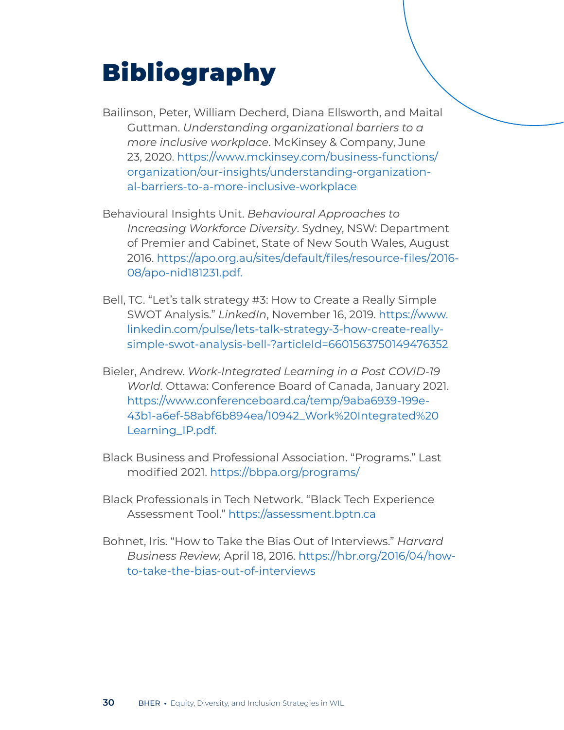# <span id="page-29-0"></span>Bibliography

- Bailinson, Peter, William Decherd, Diana Ellsworth, and Maital Guttman. *Understanding organizational barriers to a more inclusive workplace*. McKinsey & Company, June 23, 2020. [https://www.mckinsey.com/business-functions/](https://www.mckinsey.com/business-functions/organization/our-insights/understanding-organizational-barriers-to-a-more-inclusive-workplace ) [organization/our-insights/understanding-organization](https://www.mckinsey.com/business-functions/organization/our-insights/understanding-organizational-barriers-to-a-more-inclusive-workplace )[al-barriers-to-a-more-inclusive-workplace](https://www.mckinsey.com/business-functions/organization/our-insights/understanding-organizational-barriers-to-a-more-inclusive-workplace )
- Behavioural Insights Unit. *Behavioural Approaches to Increasing Workforce Diversity*. Sydney, NSW: Department of Premier and Cabinet, State of New South Wales, August 2016. [https://apo.org.au/sites/default/files/resource-files/2016-](https://apo.org.au/sites/default/files/resource-files/2016-08/apo-nid181231.pdf.) [08/apo-nid181231.pdf.](https://apo.org.au/sites/default/files/resource-files/2016-08/apo-nid181231.pdf.)
- Bell, TC. "Let's talk strategy #3: How to Create a Really Simple SWOT Analysis." *LinkedIn*, November 16, 2019. [https://www.](https://www.linkedin.com/pulse/lets-talk-strategy-3-how-create-really-simple-swot-analysis-bell-?articleId=6601563750149476352) [linkedin.com/pulse/lets-talk-strategy-3-how-create-really](https://www.linkedin.com/pulse/lets-talk-strategy-3-how-create-really-simple-swot-analysis-bell-?articleId=6601563750149476352)[simple-swot-analysis-bell-?articleId=6601563750149476352](https://www.linkedin.com/pulse/lets-talk-strategy-3-how-create-really-simple-swot-analysis-bell-?articleId=6601563750149476352)
- Bieler, Andrew. *Work-Integrated Learning in a Post COVID-19 World.* Ottawa: Conference Board of Canada, January 2021. [https://www.conferenceboard.ca/temp/9aba6939-199e-](https://www.conferenceboard.ca/temp/9aba6939-199e-43b1-a6ef-58abf6b894ea/10942_Work%20Integrated%20Learning_IP.pdf. )[43b1-a6ef-58abf6b894ea/10942\\_Work%20Integrated%20](https://www.conferenceboard.ca/temp/9aba6939-199e-43b1-a6ef-58abf6b894ea/10942_Work%20Integrated%20Learning_IP.pdf. ) [Learning\\_IP.pdf.](https://www.conferenceboard.ca/temp/9aba6939-199e-43b1-a6ef-58abf6b894ea/10942_Work%20Integrated%20Learning_IP.pdf. )
- Black Business and Professional Association. "Programs." Last modified 2021. [https://bbpa.org/programs/](https://bbpa.org/programs/ )
- Black Professionals in Tech Network. "Black Tech Experience Assessment Tool.[" https://assessment.bptn.ca]( https://assessment.bptn.ca )
- Bohnet, Iris. "How to Take the Bias Out of Interviews." *Harvard Business Review,* April 18, 2016. [https://hbr.org/2016/04/how](https://hbr.org/2016/04/how-to-take-the-bias-out-of-interviews)[to-take-the-bias-out-of-interviews](https://hbr.org/2016/04/how-to-take-the-bias-out-of-interviews)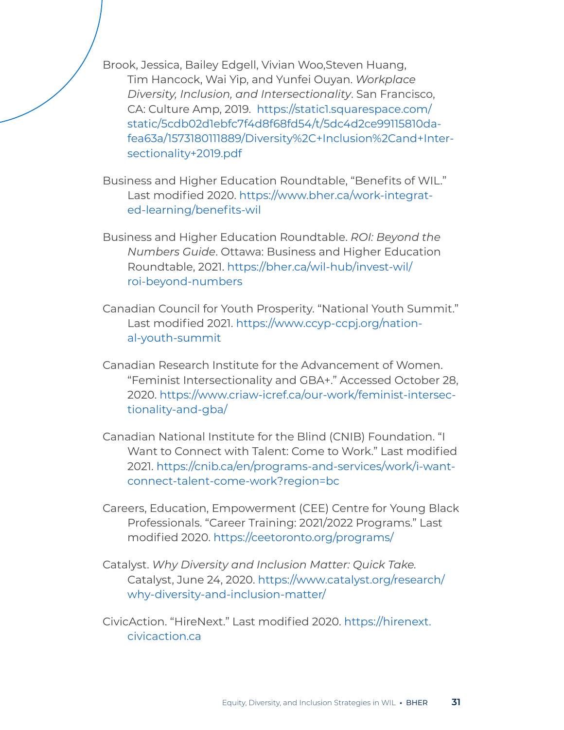Brook, Jessica, Bailey Edgell, Vivian Woo,Steven Huang, Tim Hancock, Wai Yip, and Yunfei Ouyan. *Workplace Diversity, Inclusion, and Intersectionality*. San Francisco, CA: Culture Amp, 2019. [https://static1.squarespace.com/]( https://static1.squarespace.com/static/5cdb02d1ebfc7f4d8f68fd54/t/5dc4d2ce99115810dafea63a/1573180111889/Diversity%2C+Inclusion%2Cand+Intersectionality+2019.pdf ) [static/5cdb02d1ebfc7f4d8f68fd54/t/5dc4d2ce99115810da]( https://static1.squarespace.com/static/5cdb02d1ebfc7f4d8f68fd54/t/5dc4d2ce99115810dafea63a/1573180111889/Diversity%2C+Inclusion%2Cand+Intersectionality+2019.pdf )[fea63a/1573180111889/Diversity%2C+Inclusion%2Cand+Inter]( https://static1.squarespace.com/static/5cdb02d1ebfc7f4d8f68fd54/t/5dc4d2ce99115810dafea63a/1573180111889/Diversity%2C+Inclusion%2Cand+Intersectionality+2019.pdf )[sectionality+2019.pdf]( https://static1.squarespace.com/static/5cdb02d1ebfc7f4d8f68fd54/t/5dc4d2ce99115810dafea63a/1573180111889/Diversity%2C+Inclusion%2Cand+Intersectionality+2019.pdf ) 

Business and Higher Education Roundtable, "Benefits of WIL." Last modified 2020. [https://www.bher.ca/work-integrat](https://www.bher.ca/work-integrated-learning/benefits-wil)[ed-learning/benefits-wil](https://www.bher.ca/work-integrated-learning/benefits-wil)

Business and Higher Education Roundtable. *ROI: Beyond the Numbers Guide*. Ottawa: Business and Higher Education Roundtable, 2021. [https://bher.ca/wil-hub/invest-wil/](https://bher.ca/wil-hub/invest-wil/roi-beyond-numbers ) [roi-beyond-numbers](https://bher.ca/wil-hub/invest-wil/roi-beyond-numbers ) 

Canadian Council for Youth Prosperity. "National Youth Summit." Last modified 2021. [https://www.ccyp-ccpj.org/nation](https://www.ccyp-ccpj.org/national-youth-summit)[al-youth-summit](https://www.ccyp-ccpj.org/national-youth-summit)

Canadian Research Institute for the Advancement of Women. "Feminist Intersectionality and GBA+." Accessed October 28, 2020. [https://www.criaw-icref.ca/our-work/feminist-intersec](https://www.criaw-icref.ca/our-work/feminist-intersectionality-and-gba/)[tionality-and-gba/](https://www.criaw-icref.ca/our-work/feminist-intersectionality-and-gba/)

Canadian National Institute for the Blind (CNIB) Foundation. "I Want to Connect with Talent: Come to Work." Last modified 2021. [https://cnib.ca/en/programs-and-services/work/i-want](https://cnib.ca/en/programs-and-services/work/i-want-connect-talent-come-work?region=bc)[connect-talent-come-work?region=bc](https://cnib.ca/en/programs-and-services/work/i-want-connect-talent-come-work?region=bc)

Careers, Education, Empowerment (CEE) Centre for Young Black Professionals. "Career Training: 2021/2022 Programs." Last modified 2020. [https://ceetoronto.org/programs/](https://ceetoronto.org/programs/ ) 

Catalyst. *Why Diversity and Inclusion Matter: Quick Take.* Catalyst, June 24, 2020. [https://www.catalyst.org/research/](https://www.catalyst.org/research/why-diversity-and-inclusion-matter/ ) [why-diversity-and-inclusion-matter/](https://www.catalyst.org/research/why-diversity-and-inclusion-matter/ ) 

CivicAction. "HireNext." Last modified 2020. [https://hirenext.](https://hirenext.civicaction.ca) [civicaction.ca](https://hirenext.civicaction.ca)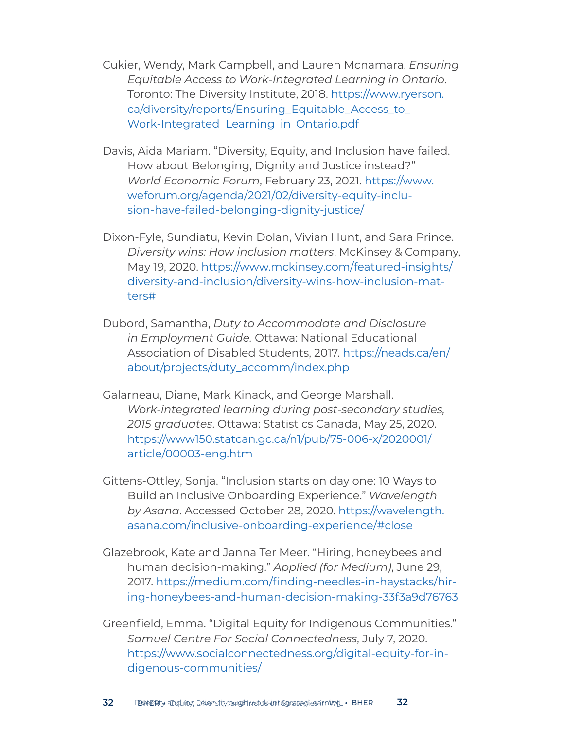Cukier, Wendy, Mark Campbell, and Lauren Mcnamara. *Ensuring Equitable Access to Work-Integrated Learning in Ontario*. Toronto: The Diversity Institute, 2018. [https://www.ryerson.](https://www.ryerson.ca/diversity/reports/Ensuring_Equitable_Access_to_Work-Integrated_Learning_in_Ontario.pdf  ) [ca/diversity/reports/Ensuring\\_Equitable\\_Access\\_to\\_](https://www.ryerson.ca/diversity/reports/Ensuring_Equitable_Access_to_Work-Integrated_Learning_in_Ontario.pdf  ) [Work-Integrated\\_Learning\\_in\\_Ontario.pdf](https://www.ryerson.ca/diversity/reports/Ensuring_Equitable_Access_to_Work-Integrated_Learning_in_Ontario.pdf  ) 

Davis, Aida Mariam. "Diversity, Equity, and Inclusion have failed. How about Belonging, Dignity and Justice instead?" *World Economic Forum*, February 23, 2021. [https://www.](https://www.weforum.org/agenda/2021/02/diversity-equity-inclusion-have-failed-belonging-dignity-justice/ ) [weforum.org/agenda/2021/02/diversity-equity-inclu](https://www.weforum.org/agenda/2021/02/diversity-equity-inclusion-have-failed-belonging-dignity-justice/ )[sion-have-failed-belonging-dignity-justice/](https://www.weforum.org/agenda/2021/02/diversity-equity-inclusion-have-failed-belonging-dignity-justice/ ) 

Dixon-Fyle, Sundiatu, Kevin Dolan, Vivian Hunt, and Sara Prince. *Diversity wins: How inclusion matters*. McKinsey & Company, May 19, 2020. [https://www.mckinsey.com/featured-insights/](https://www.mckinsey.com/featured-insights/diversity-and-inclusion/diversity-wins-how-inclusion-matters# ) [diversity-and-inclusion/diversity-wins-how-inclusion-mat](https://www.mckinsey.com/featured-insights/diversity-and-inclusion/diversity-wins-how-inclusion-matters# )[ters#](https://www.mckinsey.com/featured-insights/diversity-and-inclusion/diversity-wins-how-inclusion-matters# ) 

Dubord, Samantha, *Duty to Accommodate and Disclosure in Employment Guide.* Ottawa: National Educational Association of Disabled Students, 2017. [https://neads.ca/en/](https://neads.ca/en/about/projects/duty_accomm/index.php ) [about/projects/duty\\_accomm/index.php](https://neads.ca/en/about/projects/duty_accomm/index.php ) 

Galarneau, Diane, Mark Kinack, and George Marshall. *Work-integrated learning during post-secondary studies, 2015 graduates*. Ottawa: Statistics Canada, May 25, 2020. [https://www150.statcan.gc.ca/n1/pub/75-006-x/2020001/](https://www150.statcan.gc.ca/n1/pub/75-006-x/2020001/article/00003-eng.htm ) [article/00003-eng.htm](https://www150.statcan.gc.ca/n1/pub/75-006-x/2020001/article/00003-eng.htm ) 

Gittens-Ottley, Sonja. "Inclusion starts on day one: 10 Ways to Build an Inclusive Onboarding Experience." *Wavelength by Asana*. Accessed October 28, 2020. [https://wavelength.](https://wavelength.asana.com/inclusive-onboarding-experience/#close) [asana.com/inclusive-onboarding-experience/#close](https://wavelength.asana.com/inclusive-onboarding-experience/#close)

Glazebrook, Kate and Janna Ter Meer. "Hiring, honeybees and human decision-making." *Applied (for Medium)*, June 29, 2017. [https://medium.com/finding-needles-in-haystacks/hir](https://medium.com/finding-needles-in-haystacks/hiring-honeybees-and-human-decision-making-33f3a9d76763)[ing-honeybees-and-human-decision-making-33f3a9d76763](https://medium.com/finding-needles-in-haystacks/hiring-honeybees-and-human-decision-making-33f3a9d76763)

Greenfield, Emma. "Digital Equity for Indigenous Communities." *Samuel Centre For Social Connectedness*, July 7, 2020. [https://www.socialconnectedness.org/digital-equity-for-in](https://www.socialconnectedness.org/digital-equity-for-indigenous-communities/)[digenous-communities/](https://www.socialconnectedness.org/digital-equity-for-indigenous-communities/)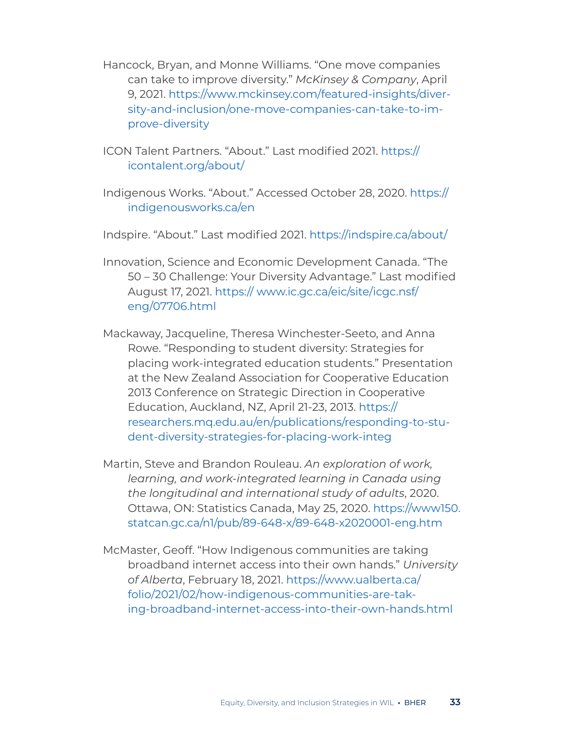- Hancock, Bryan, and Monne Williams. "One move companies can take to improve diversity." *McKinsey & Company*, April 9, 2021. [https://www.mckinsey.com/featured-insights/diver](https://www.mckinsey.com/featured-insights/diversity-and-inclusion/one-move-companies-can-take-to-improve-diversity )[sity-and-inclusion/one-move-companies-can-take-to-im](https://www.mckinsey.com/featured-insights/diversity-and-inclusion/one-move-companies-can-take-to-improve-diversity )[prove-diversity](https://www.mckinsey.com/featured-insights/diversity-and-inclusion/one-move-companies-can-take-to-improve-diversity )
- ICON Talent Partners. "About." Last modified 2021. [https://](https://icontalent.org/about/) [icontalent.org/about/](https://icontalent.org/about/)
- Indigenous Works. "About." Accessed October 28, 2020. [https://](https://indigenousworks.ca/en) [indigenousworks.ca/en](https://indigenousworks.ca/en)
- Indspire. "About." Last modified 2021. <https://indspire.ca/about/>
- Innovation, Science and Economic Development Canada. "The 50 – 30 Challenge: Your Diversity Advantage." Last modified August 17, 2021. [https:// www.ic.gc.ca/eic/site/icgc.nsf/](https:// www.ic.gc.ca/eic/site/icgc.nsf/eng/07706.html) [eng/07706.html](https:// www.ic.gc.ca/eic/site/icgc.nsf/eng/07706.html)
- Mackaway, Jacqueline, Theresa Winchester-Seeto, and Anna Rowe. "Responding to student diversity: Strategies for placing work-integrated education students." Presentation at the New Zealand Association for Cooperative Education 2013 Conference on Strategic Direction in Cooperative Education, Auckland, NZ, April 21-23, 2013. [https://](https://researchers.mq.edu.au/en/publications/responding-to-student-diversity-strategies-for-placing-work-integ ) [researchers.mq.edu.au/en/publications/responding-to-stu](https://researchers.mq.edu.au/en/publications/responding-to-student-diversity-strategies-for-placing-work-integ )[dent-diversity-strategies-for-placing-work-integ](https://researchers.mq.edu.au/en/publications/responding-to-student-diversity-strategies-for-placing-work-integ )
- Martin, Steve and Brandon Rouleau. *An exploration of work, learning, and work-integrated learning in Canada using the longitudinal and international study of adults*, 2020. Ottawa, ON: Statistics Canada, May 25, 2020. [https://www150.](https://www150.statcan.gc.ca/n1/pub/89-648-x/89-648-x2020001-eng.htm ) [statcan.gc.ca/n1/pub/89-648-x/89-648-x2020001-eng.htm](https://www150.statcan.gc.ca/n1/pub/89-648-x/89-648-x2020001-eng.htm )
- McMaster, Geoff. "How Indigenous communities are taking broadband internet access into their own hands." *University of Alberta*, February 18, 2021. [https://www.ualberta.ca/](https://www.ualberta.ca/folio/2021/02/how-indigenous-communities-are-taking-broadband-internet-access-into-their-own-hands.html ) [folio/2021/02/how-indigenous-communities-are-tak](https://www.ualberta.ca/folio/2021/02/how-indigenous-communities-are-taking-broadband-internet-access-into-their-own-hands.html )[ing-broadband-internet-access-into-their-own-hands.html](https://www.ualberta.ca/folio/2021/02/how-indigenous-communities-are-taking-broadband-internet-access-into-their-own-hands.html )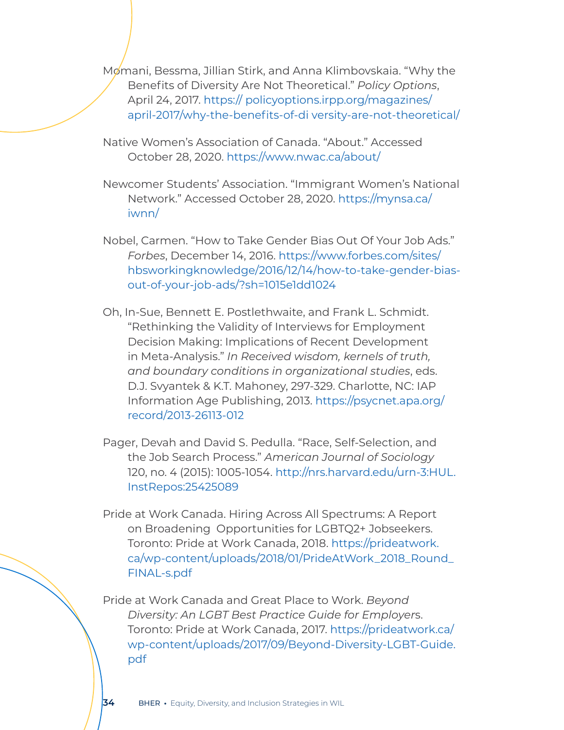Momani, Bessma, Jillian Stirk, and Anna Klimbovskaia. "Why the Benefits of Diversity Are Not Theoretical." *Policy Options*, April 24, 2017. [https:// policyoptions.irpp.org/magazines/](https:// policyoptions.irpp.org/magazines/april-2017/why-the-benefits-of-di versity-are-not-theoretical/) [april-2017/why-the-benefits-of-di versity-are-not-theoretical/](https:// policyoptions.irpp.org/magazines/april-2017/why-the-benefits-of-di versity-are-not-theoretical/)

Native Women's Association of Canada. "About." Accessed October 28, 2020. [https://www.nwac.ca/about/](https://www.nwac.ca/about/ ) 

Newcomer Students' Association. "Immigrant Women's National Network." Accessed October 28, 2020. [https://mynsa.ca/](https://mynsa.ca/iwnn/ ) [iwnn/](https://mynsa.ca/iwnn/ ) 

Nobel, Carmen. "How to Take Gender Bias Out Of Your Job Ads." *Forbes*, December 14, 2016. [https://www.forbes.com/sites/](https://www.forbes.com/sites/hbsworkingknowledge/2016/12/14/how-to-take-gender-bias-out-of-your-job-ads/?sh=1015e1dd1024 ) [hbsworkingknowledge/2016/12/14/how-to-take-gender-bias](https://www.forbes.com/sites/hbsworkingknowledge/2016/12/14/how-to-take-gender-bias-out-of-your-job-ads/?sh=1015e1dd1024 )[out-of-your-job-ads/?sh=1015e1dd1024](https://www.forbes.com/sites/hbsworkingknowledge/2016/12/14/how-to-take-gender-bias-out-of-your-job-ads/?sh=1015e1dd1024 ) 

Oh, In-Sue, Bennett E. Postlethwaite, and Frank L. Schmidt. "Rethinking the Validity of Interviews for Employment Decision Making: Implications of Recent Development in Meta-Analysis." *In Received wisdom, kernels of truth, and boundary conditions in organizational studies*, eds. D.J. Svyantek & K.T. Mahoney, 297-329. Charlotte, NC: IAP Information Age Publishing, 2013. [https://psycnet.apa.org/](https://psycnet.apa.org/record/2013-26113-012 ) [record/2013-26113-012](https://psycnet.apa.org/record/2013-26113-012 ) 

Pager, Devah and David S. Pedulla. "Race, Self-Selection, and the Job Search Process." *American Journal of Sociology* 120, no. 4 (2015): 1005-1054. [http://nrs.harvard.edu/urn-3:HUL.](http://nrs.harvard.edu/urn-3:HUL.InstRepos:25425089) [InstRepos:25425089](http://nrs.harvard.edu/urn-3:HUL.InstRepos:25425089)

Pride at Work Canada. Hiring Across All Spectrums: A Report on Broadening Opportunities for LGBTQ2+ Jobseekers. Toronto: Pride at Work Canada, 2018. [https://prideatwork.](https://prideatwork.ca/wp-content/uploads/2018/01/PrideAtWork_2018_Round_FINAL-s.pdf) [ca/wp-content/uploads/2018/01/PrideAtWork\\_2018\\_Round\\_](https://prideatwork.ca/wp-content/uploads/2018/01/PrideAtWork_2018_Round_FINAL-s.pdf) [FINAL-s.pdf](https://prideatwork.ca/wp-content/uploads/2018/01/PrideAtWork_2018_Round_FINAL-s.pdf)

Pride at Work Canada and Great Place to Work. *Beyond Diversity: An LGBT Best Practice Guide for Employer*s. Toronto: Pride at Work Canada, 2017. [https://prideatwork.ca/](https://prideatwork.ca/wp-content/uploads/2017/09/Beyond-Diversity-LGBT-Guide.pdf) [wp-content/uploads/2017/09/Beyond-Diversity-LGBT-Guide.](https://prideatwork.ca/wp-content/uploads/2017/09/Beyond-Diversity-LGBT-Guide.pdf) [pdf](https://prideatwork.ca/wp-content/uploads/2017/09/Beyond-Diversity-LGBT-Guide.pdf)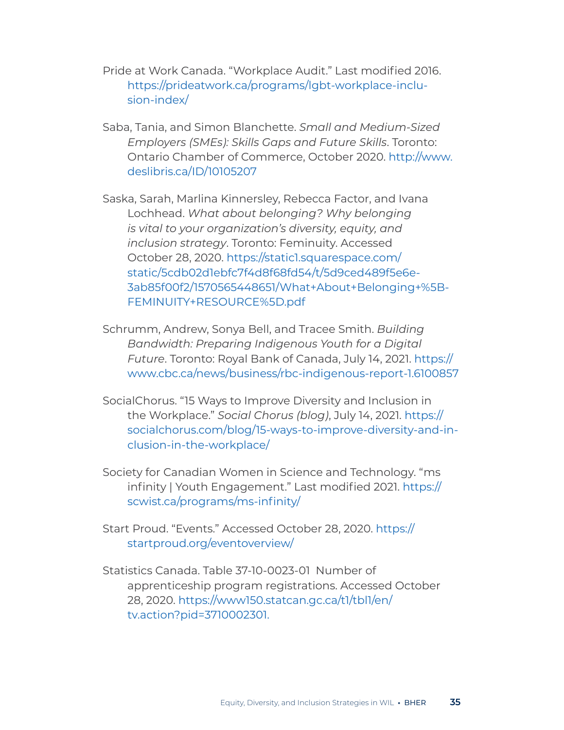Pride at Work Canada. "Workplace Audit." Last modified 2016. [https://prideatwork.ca/programs/lgbt-workplace-inclu](https://prideatwork.ca/programs/lgbt-workplace-inclusion-index/)[sion-index/](https://prideatwork.ca/programs/lgbt-workplace-inclusion-index/)

Saba, Tania, and Simon Blanchette. *Small and Medium-Sized Employers (SMEs): Skills Gaps and Future Skills*. Toronto: Ontario Chamber of Commerce, October 2020. [http://www.](http://www.deslibris.ca/ID/10105207 ) [deslibris.ca/ID/10105207](http://www.deslibris.ca/ID/10105207 ) 

Saska, Sarah, Marlina Kinnersley, Rebecca Factor, and Ivana Lochhead. *What about belonging? Why belonging is vital to your organization's diversity, equity, and inclusion strategy*. Toronto: Feminuity. Accessed October 28, 2020. [https://static1.squarespace.com/](https://static1.squarespace.com/static/5cdb02d1ebfc7f4d8f68fd54/t/5d9ced489f5e6e3ab85f00f2/1570565448651/What+About+Belonging+%5BFEMINUITY+RESOURCE%5D.pdf) [static/5cdb02d1ebfc7f4d8f68fd54/t/5d9ced489f5e6e-](https://static1.squarespace.com/static/5cdb02d1ebfc7f4d8f68fd54/t/5d9ced489f5e6e3ab85f00f2/1570565448651/What+About+Belonging+%5BFEMINUITY+RESOURCE%5D.pdf)[3ab85f00f2/1570565448651/What+About+Belonging+%5B-](https://static1.squarespace.com/static/5cdb02d1ebfc7f4d8f68fd54/t/5d9ced489f5e6e3ab85f00f2/1570565448651/What+About+Belonging+%5BFEMINUITY+RESOURCE%5D.pdf)[FEMINUITY+RESOURCE%5D.pdf](https://static1.squarespace.com/static/5cdb02d1ebfc7f4d8f68fd54/t/5d9ced489f5e6e3ab85f00f2/1570565448651/What+About+Belonging+%5BFEMINUITY+RESOURCE%5D.pdf)

- Schrumm, Andrew, Sonya Bell, and Tracee Smith. *Building Bandwidth: Preparing Indigenous Youth for a Digital Future*. Toronto: Royal Bank of Canada, July 14, 2021. [https://](https://www.cbc.ca/news/business/rbc-indigenous-report-1.6100857) [www.cbc.ca/news/business/rbc-indigenous-report-1.6100857](https://www.cbc.ca/news/business/rbc-indigenous-report-1.6100857)
- SocialChorus. "15 Ways to Improve Diversity and Inclusion in the Workplace." *Social Chorus (blog)*, July 14, 2021[. https://]( https://socialchorus.com/blog/15-ways-to-improve-diversity-and-inclusion-in-the-workplace/) [socialchorus.com/blog/15-ways-to-improve-diversity-and-in]( https://socialchorus.com/blog/15-ways-to-improve-diversity-and-inclusion-in-the-workplace/)[clusion-in-the-workplace/]( https://socialchorus.com/blog/15-ways-to-improve-diversity-and-inclusion-in-the-workplace/)
- Society for Canadian Women in Science and Technology. "ms infinity | Youth Engagement." Last modified 2021. [https://](https://scwist.ca/programs/ms-infinity/) [scwist.ca/programs/ms-infinity/](https://scwist.ca/programs/ms-infinity/)

Start Proud. "Events." Accessed October 28, 2020. [https://](https://startproud.org/eventoverview/ ) [startproud.org/eventoverview/](https://startproud.org/eventoverview/ ) 

Statistics Canada. Table 37-10-0023-01 Number of apprenticeship program registrations. Accessed October 28, 2020. [https://www150.statcan.gc.ca/t1/tbl1/en/](https://www150.statcan.gc.ca/t1/tbl1/en/tv.action?pid=3710002301 ) [tv.action?pid=3710002301](https://www150.statcan.gc.ca/t1/tbl1/en/tv.action?pid=3710002301 ).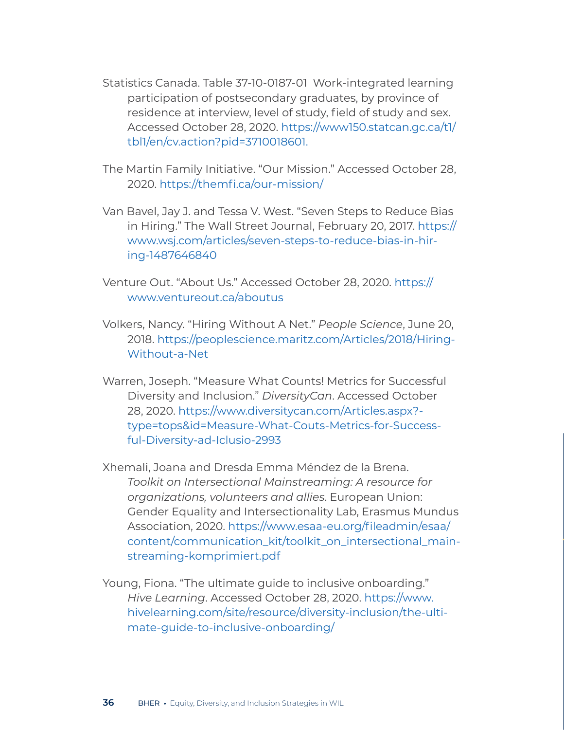- Statistics Canada. Table 37-10-0187-01 Work-integrated learning participation of postsecondary graduates, by province of residence at interview, level of study, field of study and sex. Accessed October 28, 2020. [https://www150.statcan.gc.ca/t1/](https://www150.statcan.gc.ca/t1/tbl1/en/cv.action?pid=3710018601) [tbl1/en/cv.action?pid=3710018601](https://www150.statcan.gc.ca/t1/tbl1/en/cv.action?pid=3710018601).
- The Martin Family Initiative. "Our Mission." Accessed October 28, 2020. [https://themfi.ca/our-mission/](https://themfi.ca/our-mission/ )
- Van Bavel, Jay J. and Tessa V. West. "Seven Steps to Reduce Bias in Hiring." The Wall Street Journal, February 20, 2017. [https://](https://www.wsj.com/articles/seven-steps-to-reduce-bias-in-hiring-1487646840) [www.wsj.com/articles/seven-steps-to-reduce-bias-in-hir](https://www.wsj.com/articles/seven-steps-to-reduce-bias-in-hiring-1487646840)[ing-1487646840](https://www.wsj.com/articles/seven-steps-to-reduce-bias-in-hiring-1487646840)
- Venture Out. "About Us." Accessed October 28, 2020. [https://](https://www.ventureout.ca/aboutus) [www.ventureout.ca/aboutus](https://www.ventureout.ca/aboutus)
- Volkers, Nancy. "Hiring Without A Net." *People Science*, June 20, 2018. [https://peoplescience.maritz.com/Articles/2018/Hiring-](https://peoplescience.maritz.com/Articles/2018/Hiring-Without-a-Net)[Without-a-Net](https://peoplescience.maritz.com/Articles/2018/Hiring-Without-a-Net)
- Warren, Joseph. "Measure What Counts! Metrics for Successful Diversity and Inclusion." *DiversityCan*. Accessed October 28, 2020. [https://www.diversitycan.com/Articles.aspx?](https://www.diversitycan.com/Articles.aspx?type=tops&id=Measure-What-Couts-Metrics-for-Successful-Diversity-ad-Iclusio-2993 ) [type=tops&id=Measure-What-Couts-Metrics-for-Success](https://www.diversitycan.com/Articles.aspx?type=tops&id=Measure-What-Couts-Metrics-for-Successful-Diversity-ad-Iclusio-2993 )[ful-Diversity-ad-Iclusio-2993](https://www.diversitycan.com/Articles.aspx?type=tops&id=Measure-What-Couts-Metrics-for-Successful-Diversity-ad-Iclusio-2993 )
- Xhemali, Joana and Dresda Emma Méndez de la Brena. *Toolkit on Intersectional Mainstreaming: A resource for organizations, volunteers and allies*. European Union: Gender Equality and Intersectionality Lab, Erasmus Mundus Association, 2020. [https://www.esaa-eu.org/fileadmin/esaa/](https://www.esaa-eu.org/fileadmin/esaa/content/communication_kit/toolkit_on_intersectional_mainstreaming-komprimiert.pdf ) [content/communication\\_kit/toolkit\\_on\\_intersectional\\_main](https://www.esaa-eu.org/fileadmin/esaa/content/communication_kit/toolkit_on_intersectional_mainstreaming-komprimiert.pdf )[streaming-komprimiert.pdf](https://www.esaa-eu.org/fileadmin/esaa/content/communication_kit/toolkit_on_intersectional_mainstreaming-komprimiert.pdf )
- Young, Fiona. "The ultimate guide to inclusive onboarding." *Hive Learning*. Accessed October 28, 2020. [https://www.](https://www.hivelearning.com/site/resource/diversity-inclusion/the-ultimate-guide-to-inclusive-onboarding/) [hivelearning.com/site/resource/diversity-inclusion/the-ulti](https://www.hivelearning.com/site/resource/diversity-inclusion/the-ultimate-guide-to-inclusive-onboarding/)[mate-guide-to-inclusive-onboarding/](https://www.hivelearning.com/site/resource/diversity-inclusion/the-ultimate-guide-to-inclusive-onboarding/)